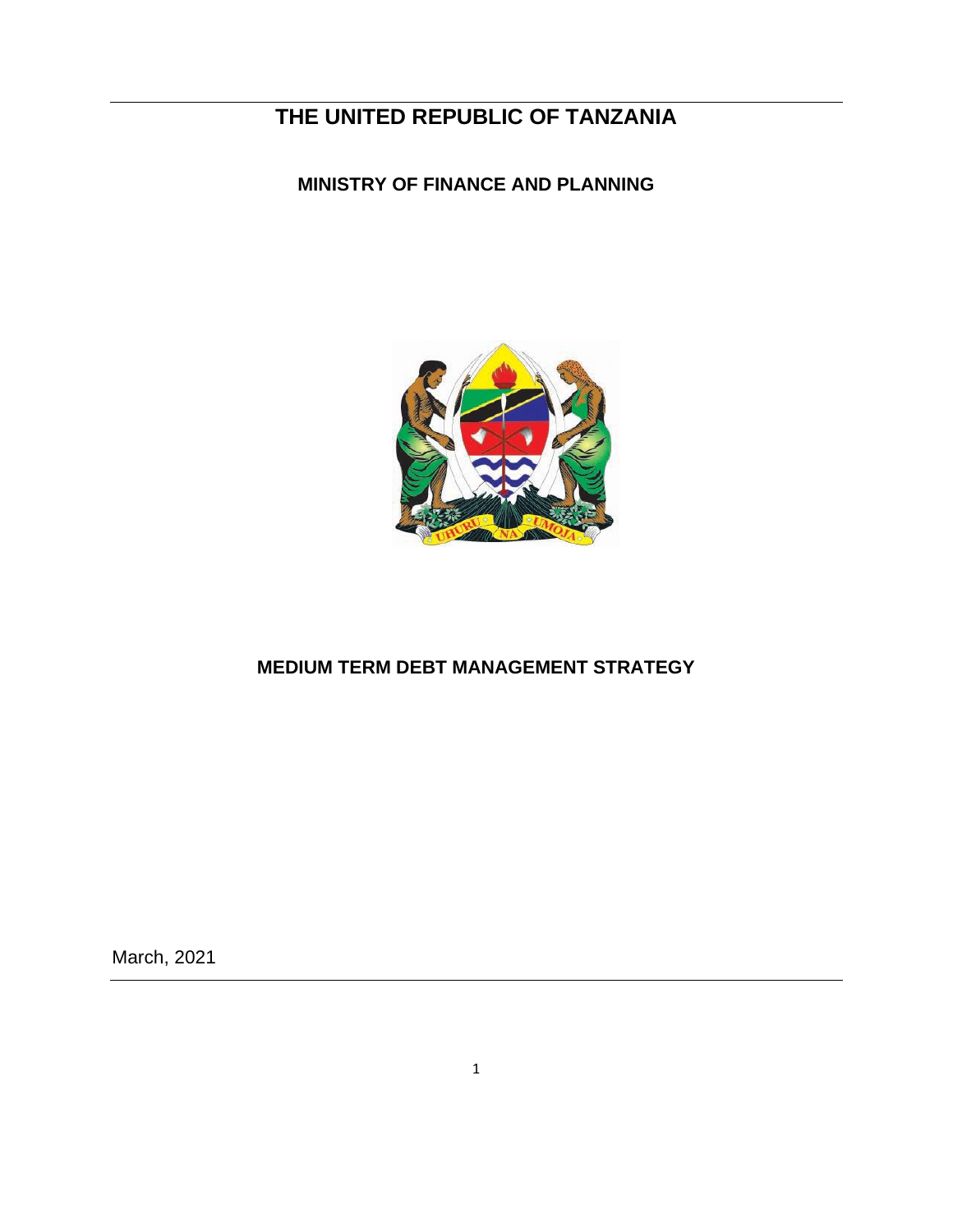# **THE UNITED REPUBLIC OF TANZANIA**

## **MINISTRY OF FINANCE AND PLANNING**



## **MEDIUM TERM DEBT MANAGEMENT STRATEGY**

March, 2021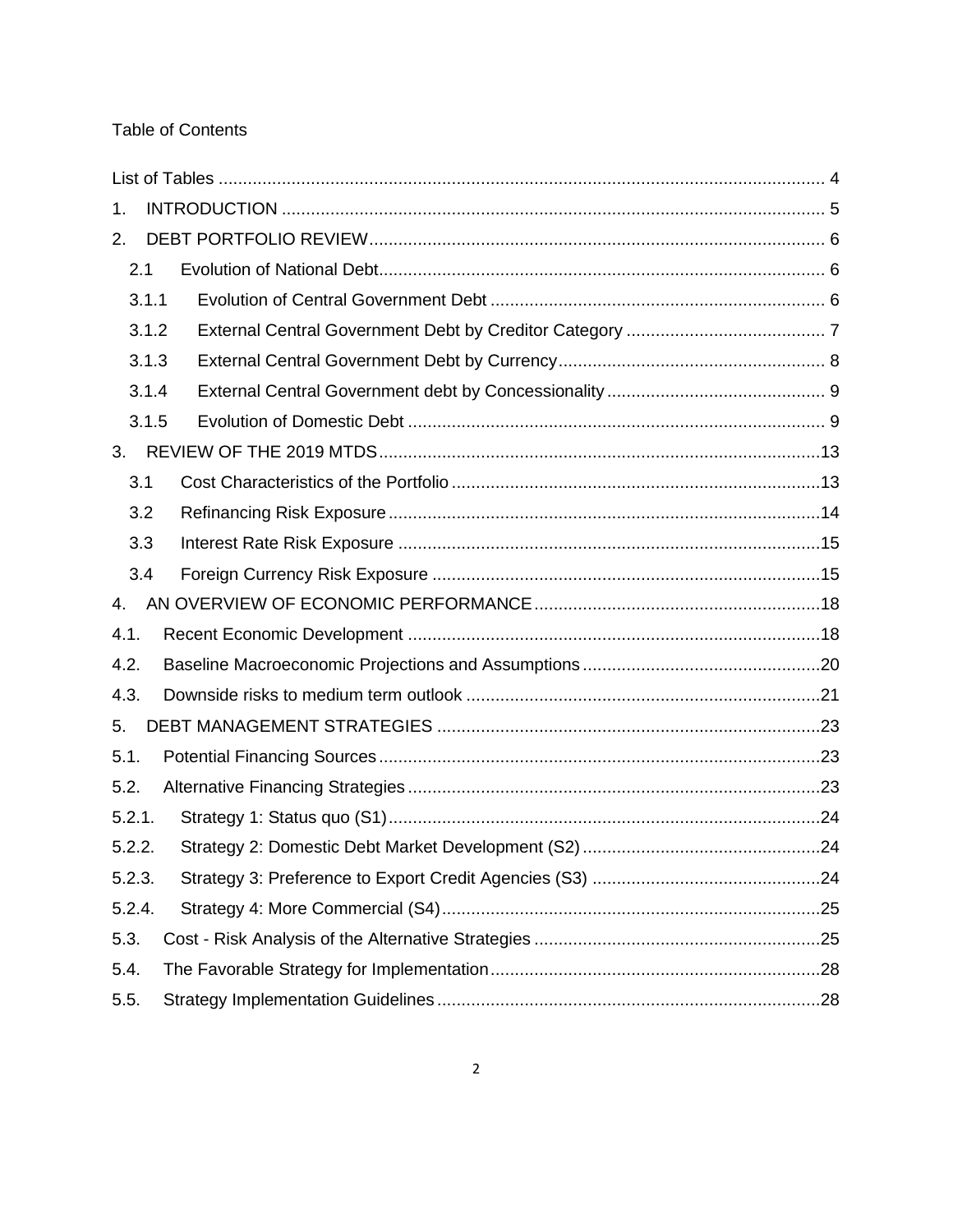## Table of Contents

| 1.     |       |  |  |  |  |
|--------|-------|--|--|--|--|
| 2.     |       |  |  |  |  |
| 2.1    |       |  |  |  |  |
|        | 3.1.1 |  |  |  |  |
|        | 3.1.2 |  |  |  |  |
|        | 3.1.3 |  |  |  |  |
|        | 3.1.4 |  |  |  |  |
|        | 3.1.5 |  |  |  |  |
| 3.     |       |  |  |  |  |
| 3.1    |       |  |  |  |  |
| 3.2    |       |  |  |  |  |
| 3.3    |       |  |  |  |  |
| 3.4    |       |  |  |  |  |
| 4.     |       |  |  |  |  |
| 4.1.   |       |  |  |  |  |
| 4.2.   |       |  |  |  |  |
| 4.3.   |       |  |  |  |  |
| 5.     |       |  |  |  |  |
| 5.1.   |       |  |  |  |  |
| 5.2.   |       |  |  |  |  |
| 5.2.1. |       |  |  |  |  |
| 5.2.2. |       |  |  |  |  |
| 5.2.3. |       |  |  |  |  |
| 5.2.4. |       |  |  |  |  |
| 5.3.   |       |  |  |  |  |
| 5.4.   |       |  |  |  |  |
| 5.5.   |       |  |  |  |  |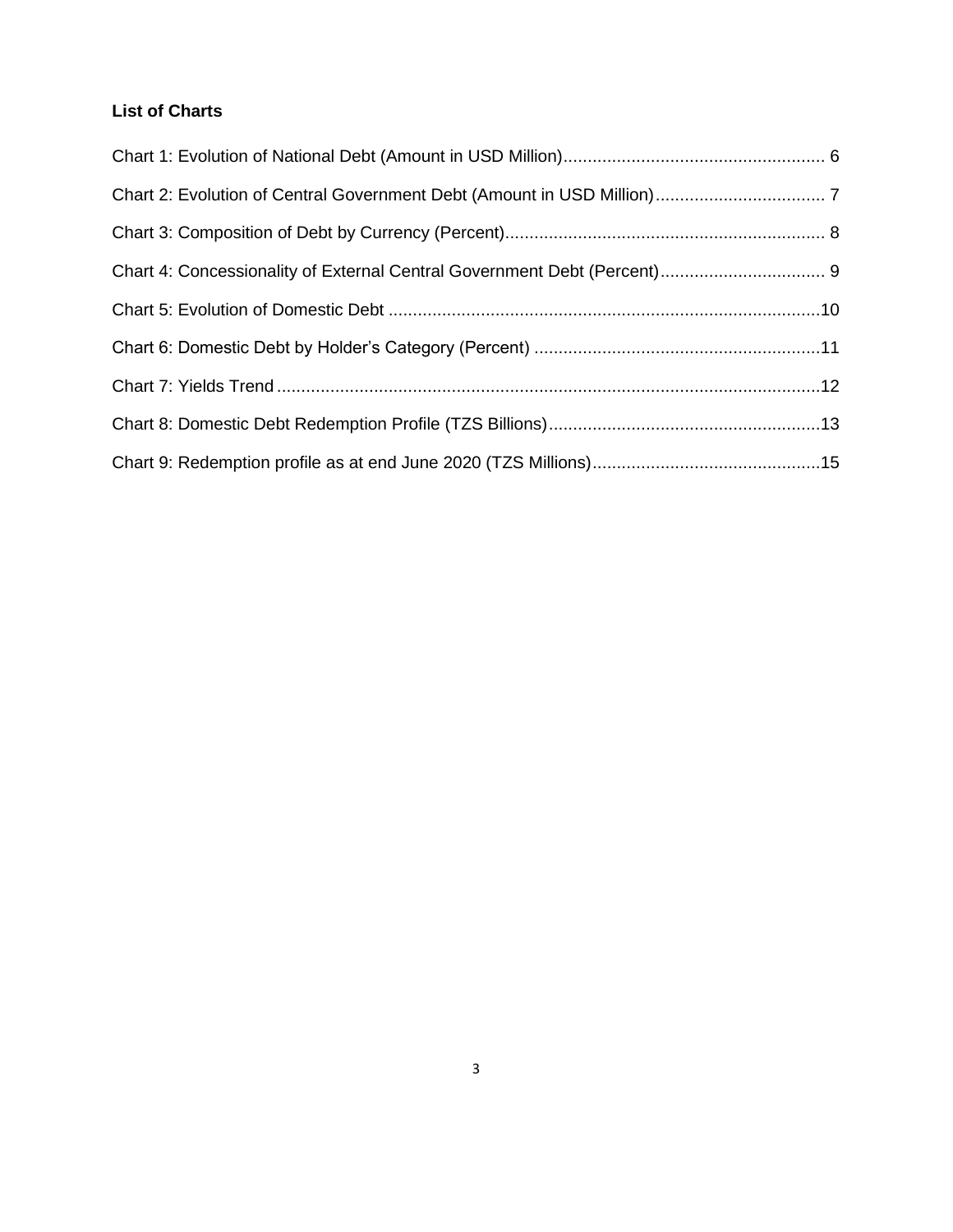## **List of Charts**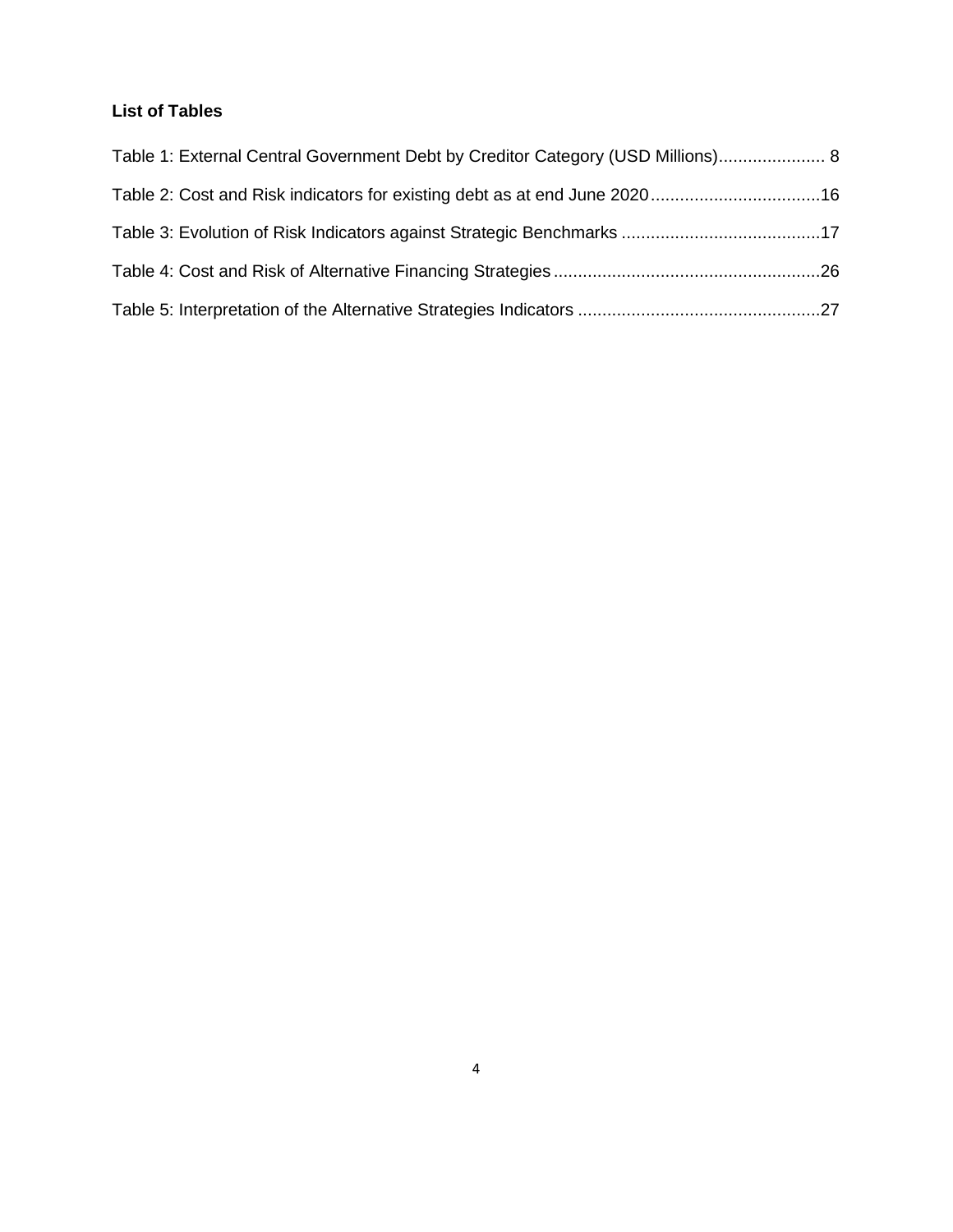## <span id="page-3-0"></span>**List of Tables**

| Table 1: External Central Government Debt by Creditor Category (USD Millions) 8 |  |
|---------------------------------------------------------------------------------|--|
|                                                                                 |  |
|                                                                                 |  |
|                                                                                 |  |
|                                                                                 |  |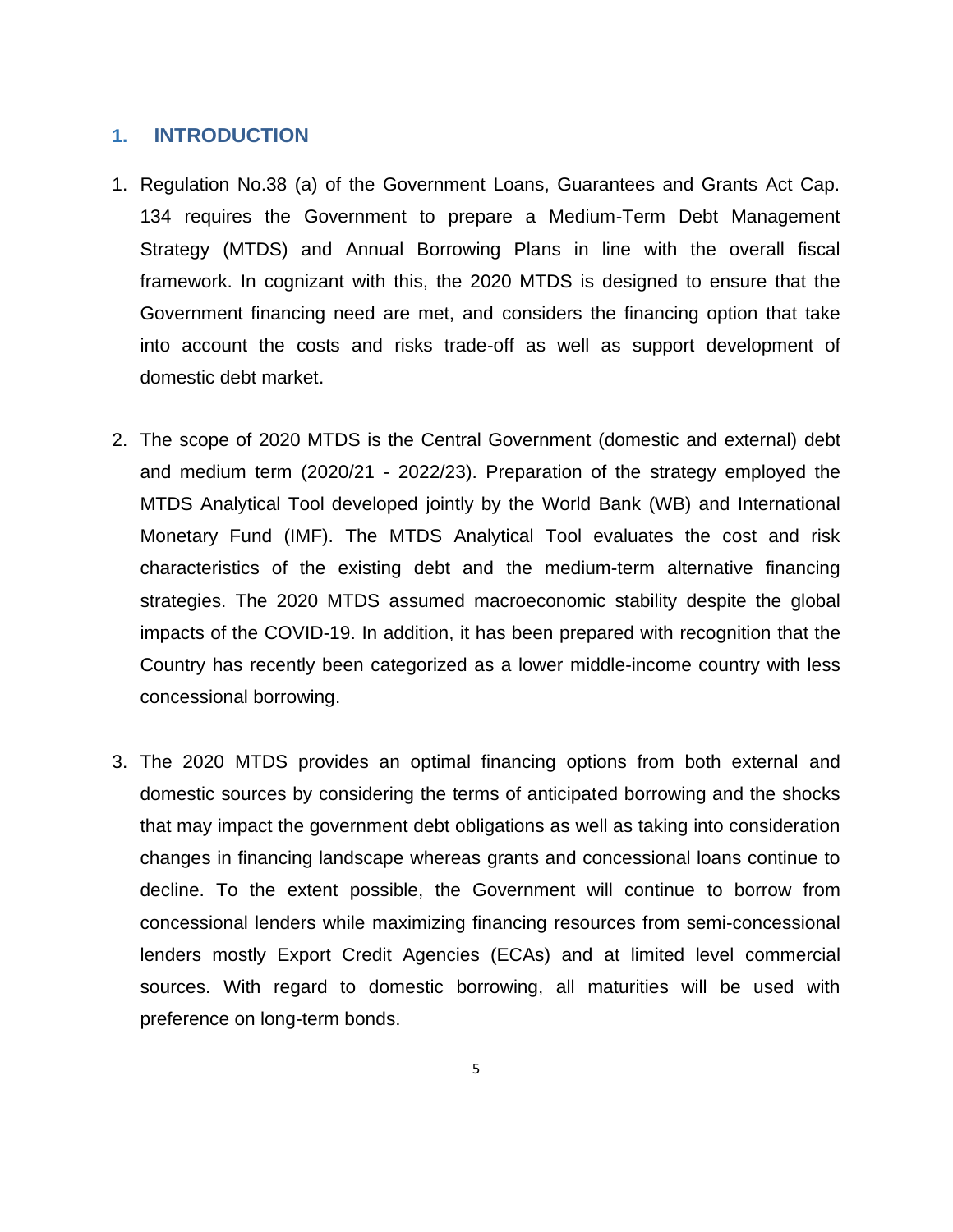### <span id="page-4-0"></span>**1. INTRODUCTION**

- 1. Regulation No.38 (a) of the Government Loans, Guarantees and Grants Act Cap. 134 requires the Government to prepare a Medium-Term Debt Management Strategy (MTDS) and Annual Borrowing Plans in line with the overall fiscal framework. In cognizant with this, the 2020 MTDS is designed to ensure that the Government financing need are met, and considers the financing option that take into account the costs and risks trade-off as well as support development of domestic debt market.
- 2. The scope of 2020 MTDS is the Central Government (domestic and external) debt and medium term (2020/21 - 2022/23). Preparation of the strategy employed the MTDS Analytical Tool developed jointly by the World Bank (WB) and International Monetary Fund (IMF). The MTDS Analytical Tool evaluates the cost and risk characteristics of the existing debt and the medium-term alternative financing strategies. The 2020 MTDS assumed macroeconomic stability despite the global impacts of the COVID-19. In addition, it has been prepared with recognition that the Country has recently been categorized as a lower middle-income country with less concessional borrowing.
- 3. The 2020 MTDS provides an optimal financing options from both external and domestic sources by considering the terms of anticipated borrowing and the shocks that may impact the government debt obligations as well as taking into consideration changes in financing landscape whereas grants and concessional loans continue to decline. To the extent possible, the Government will continue to borrow from concessional lenders while maximizing financing resources from semi-concessional lenders mostly Export Credit Agencies (ECAs) and at limited level commercial sources. With regard to domestic borrowing, all maturities will be used with preference on long-term bonds.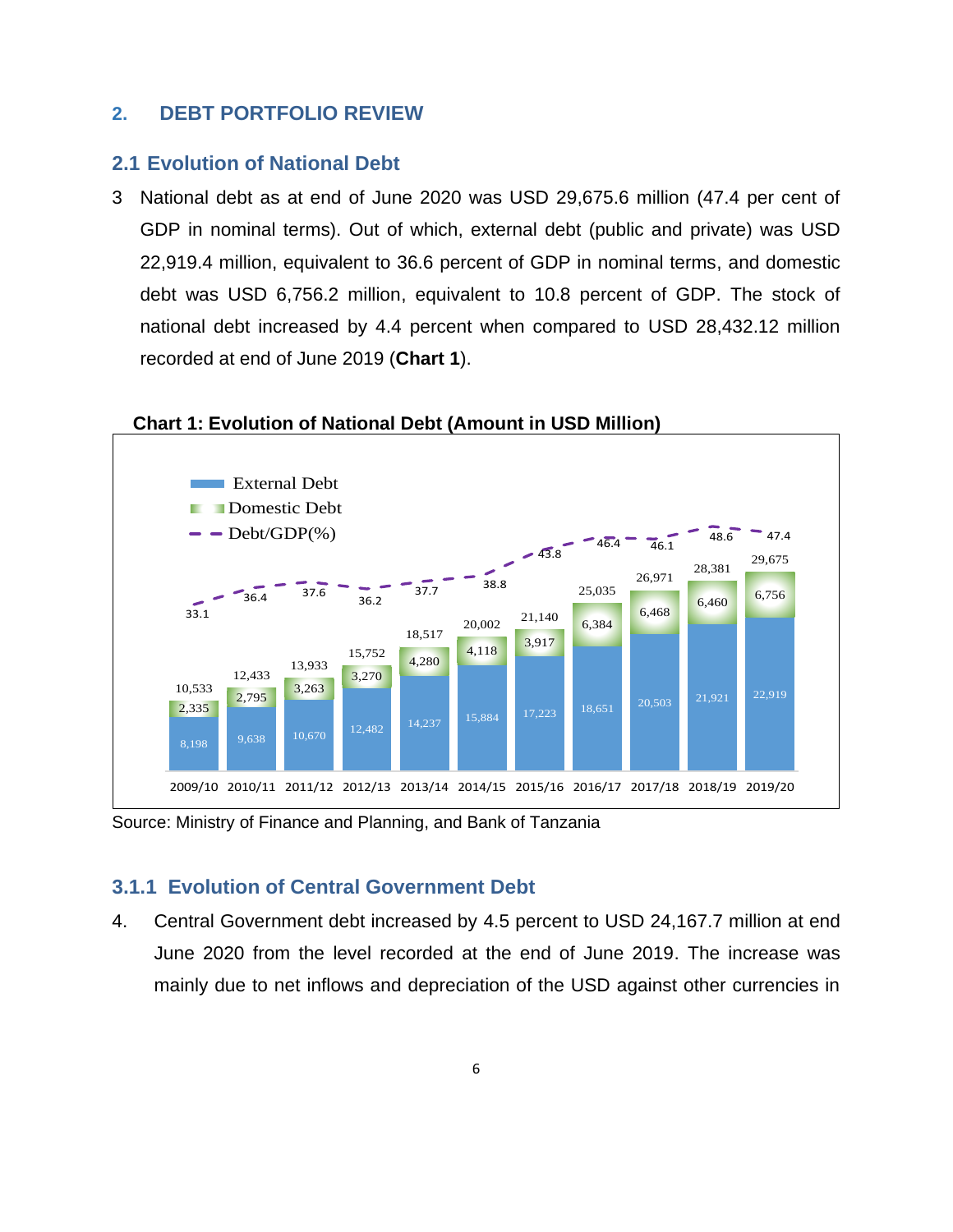### <span id="page-5-0"></span>**2. DEBT PORTFOLIO REVIEW**

#### <span id="page-5-1"></span>**2.1 Evolution of National Debt**

3 National debt as at end of June 2020 was USD 29,675.6 million (47.4 per cent of GDP in nominal terms). Out of which, external debt (public and private) was USD 22,919.4 million, equivalent to 36.6 percent of GDP in nominal terms, and domestic debt was USD 6,756.2 million, equivalent to 10.8 percent of GDP. The stock of national debt increased by 4.4 percent when compared to USD 28,432.12 million recorded at end of June 2019 (**Chart 1**).



<span id="page-5-3"></span> **Chart 1: Evolution of National Debt (Amount in USD Million)**

Source: Ministry of Finance and Planning, and Bank of Tanzania

#### <span id="page-5-2"></span>**3.1.1 Evolution of Central Government Debt**

4. Central Government debt increased by 4.5 percent to USD 24,167.7 million at end June 2020 from the level recorded at the end of June 2019. The increase was mainly due to net inflows and depreciation of the USD against other currencies in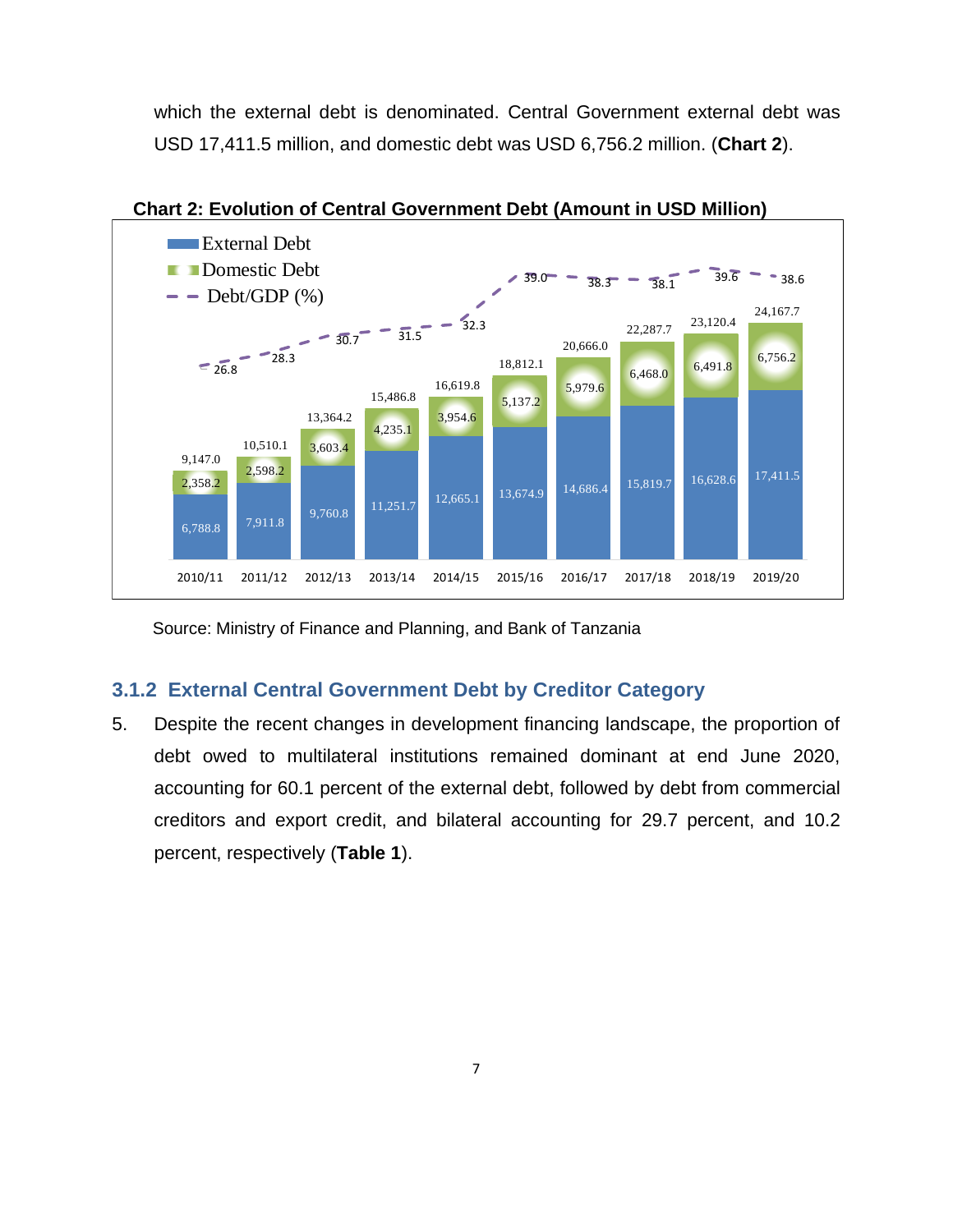which the external debt is denominated. Central Government external debt was USD 17,411.5 million, and domestic debt was USD 6,756.2 million. (**Chart 2**).

<span id="page-6-1"></span>

**Chart 2: Evolution of Central Government Debt (Amount in USD Million)**

Source: Ministry of Finance and Planning, and Bank of Tanzania

## <span id="page-6-0"></span>**3.1.2 External Central Government Debt by Creditor Category**

5. Despite the recent changes in development financing landscape, the proportion of debt owed to multilateral institutions remained dominant at end June 2020, accounting for 60.1 percent of the external debt, followed by debt from commercial creditors and export credit, and bilateral accounting for 29.7 percent, and 10.2 percent, respectively (**Table 1**).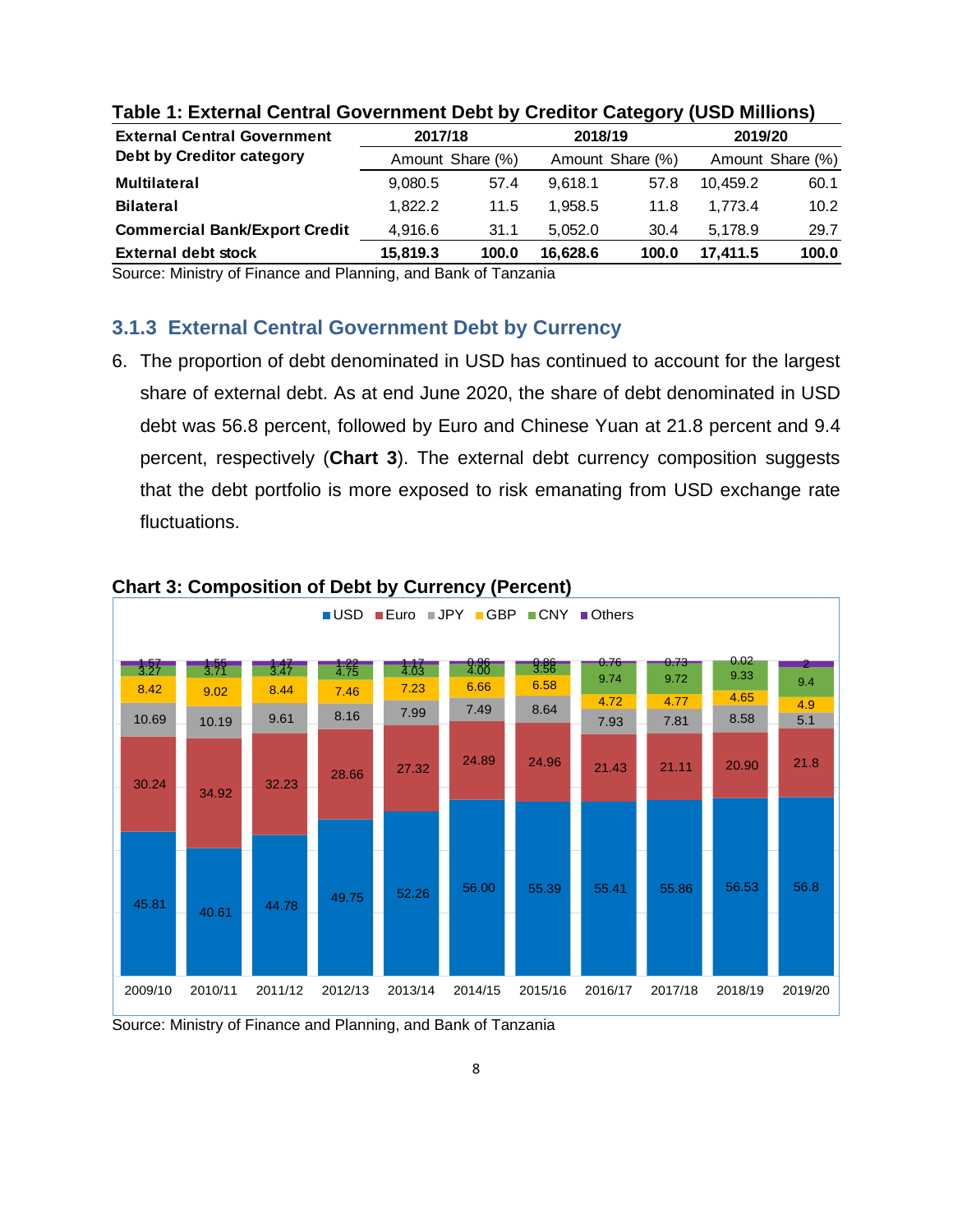| <b>External Central Government</b>   |                  | 2017/18<br>2018/19 |                  |       | 2019/20  |                   |
|--------------------------------------|------------------|--------------------|------------------|-------|----------|-------------------|
| Debt by Creditor category            | Amount Share (%) |                    | Amount Share (%) |       |          | Amount Share (%)  |
| <b>Multilateral</b>                  | 9,080.5          | 57.4               | 9.618.1          | 57.8  | 10.459.2 | 60.1              |
| <b>Bilateral</b>                     | 1.822.2          | 11.5               | 1.958.5          | 11.8  | 1.773.4  | 10.2 <sub>1</sub> |
| <b>Commercial Bank/Export Credit</b> | 4,916.6          | 31.1               | 5.052.0          | 30.4  | 5.178.9  | 29.7              |
| <b>External debt stock</b>           | 15,819.3         | 100.0              | 16.628.6         | 100.0 | 17.411.5 | 100.0             |

#### <span id="page-7-2"></span>**Table 1: External Central Government Debt by Creditor Category (USD Millions)**

Source: Ministry of Finance and Planning, and Bank of Tanzania

### <span id="page-7-0"></span>**3.1.3 External Central Government Debt by Currency**

6. The proportion of debt denominated in USD has continued to account for the largest share of external debt. As at end June 2020, the share of debt denominated in USD debt was 56.8 percent, followed by Euro and Chinese Yuan at 21.8 percent and 9.4 percent, respectively (**Chart 3**). The external debt currency composition suggests that the debt portfolio is more exposed to risk emanating from USD exchange rate fluctuations.



#### <span id="page-7-1"></span>**Chart 3: Composition of Debt by Currency (Percent)**

Source: Ministry of Finance and Planning, and Bank of Tanzania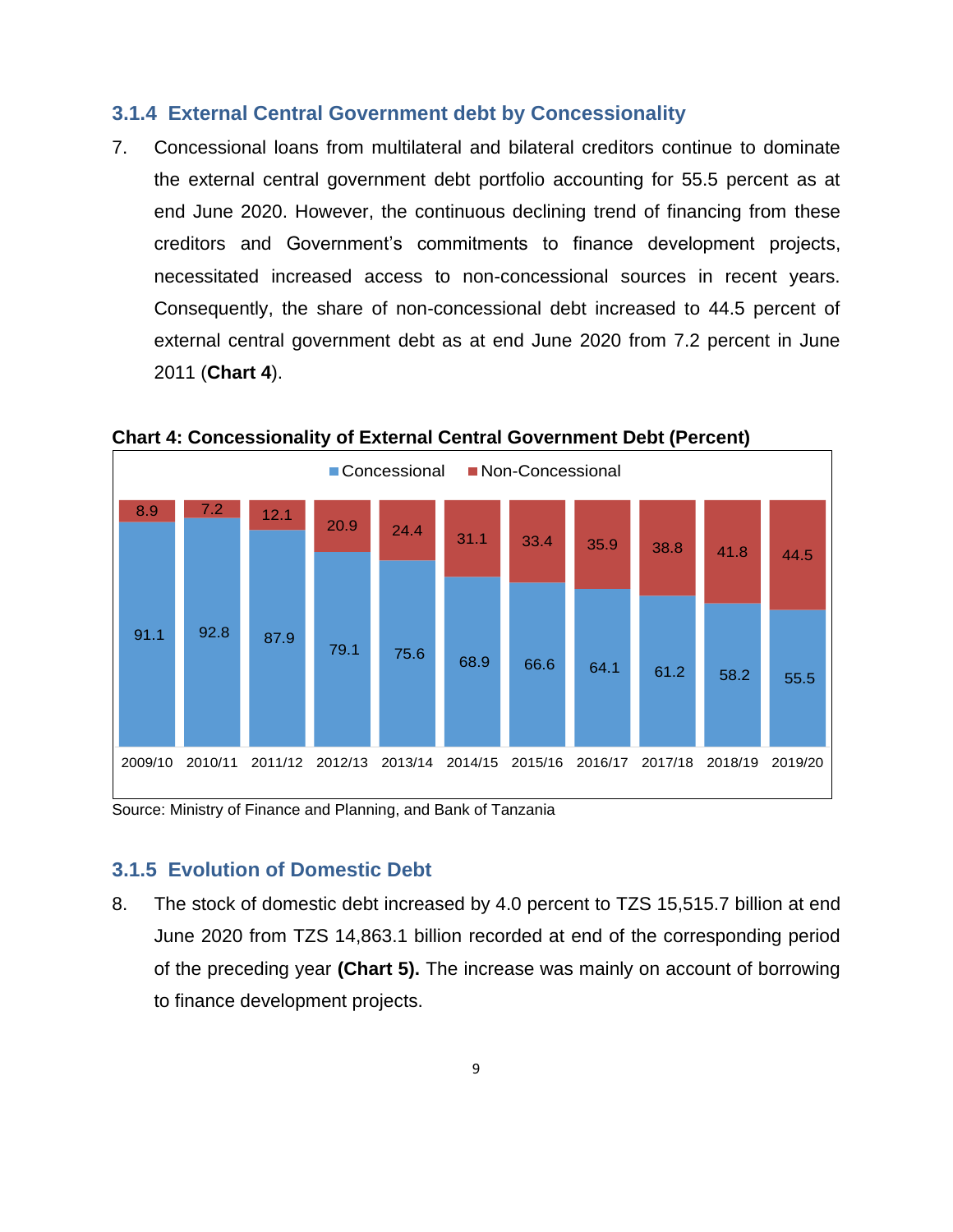### <span id="page-8-0"></span>**3.1.4 External Central Government debt by Concessionality**

7. Concessional loans from multilateral and bilateral creditors continue to dominate the external central government debt portfolio accounting for 55.5 percent as at end June 2020. However, the continuous declining trend of financing from these creditors and Government's commitments to finance development projects, necessitated increased access to non-concessional sources in recent years. Consequently, the share of non-concessional debt increased to 44.5 percent of external central government debt as at end June 2020 from 7.2 percent in June 2011 (**Chart 4**).



<span id="page-8-2"></span>**Chart 4: Concessionality of External Central Government Debt (Percent)**

Source: Ministry of Finance and Planning, and Bank of Tanzania

## <span id="page-8-1"></span>**3.1.5 Evolution of Domestic Debt**

8. The stock of domestic debt increased by 4.0 percent to TZS 15,515.7 billion at end June 2020 from TZS 14,863.1 billion recorded at end of the corresponding period of the preceding year **(Chart 5).** The increase was mainly on account of borrowing to finance development projects.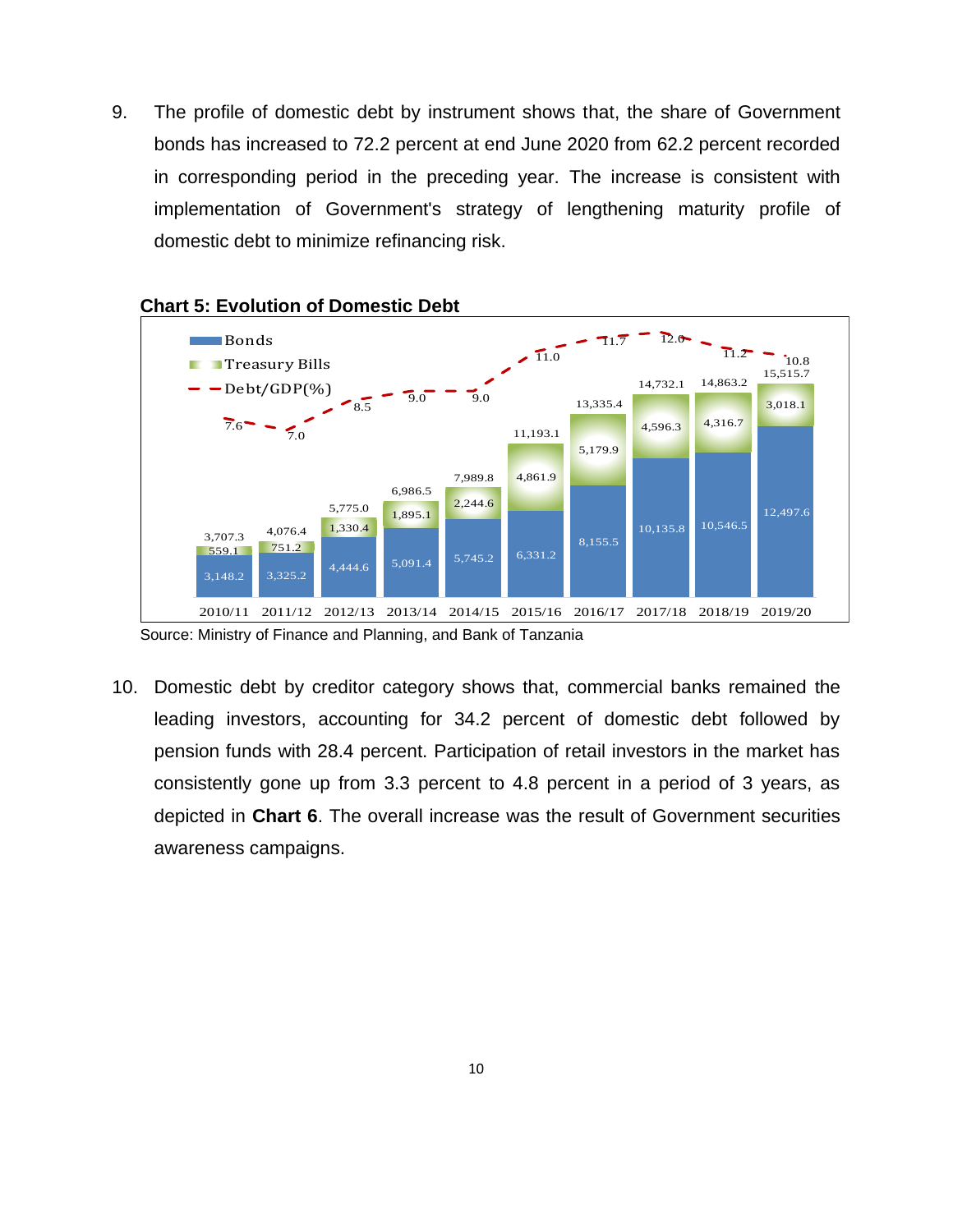9. The profile of domestic debt by instrument shows that, the share of Government bonds has increased to 72.2 percent at end June 2020 from 62.2 percent recorded in corresponding period in the preceding year. The increase is consistent with implementation of Government's strategy of lengthening maturity profile of domestic debt to minimize refinancing risk.



## <span id="page-9-0"></span>**Chart 5: Evolution of Domestic Debt**

Source: Ministry of Finance and Planning, and Bank of Tanzania

10. Domestic debt by creditor category shows that, commercial banks remained the leading investors, accounting for 34.2 percent of domestic debt followed by pension funds with 28.4 percent. Participation of retail investors in the market has consistently gone up from 3.3 percent to 4.8 percent in a period of 3 years, as depicted in **Chart 6**. The overall increase was the result of Government securities awareness campaigns.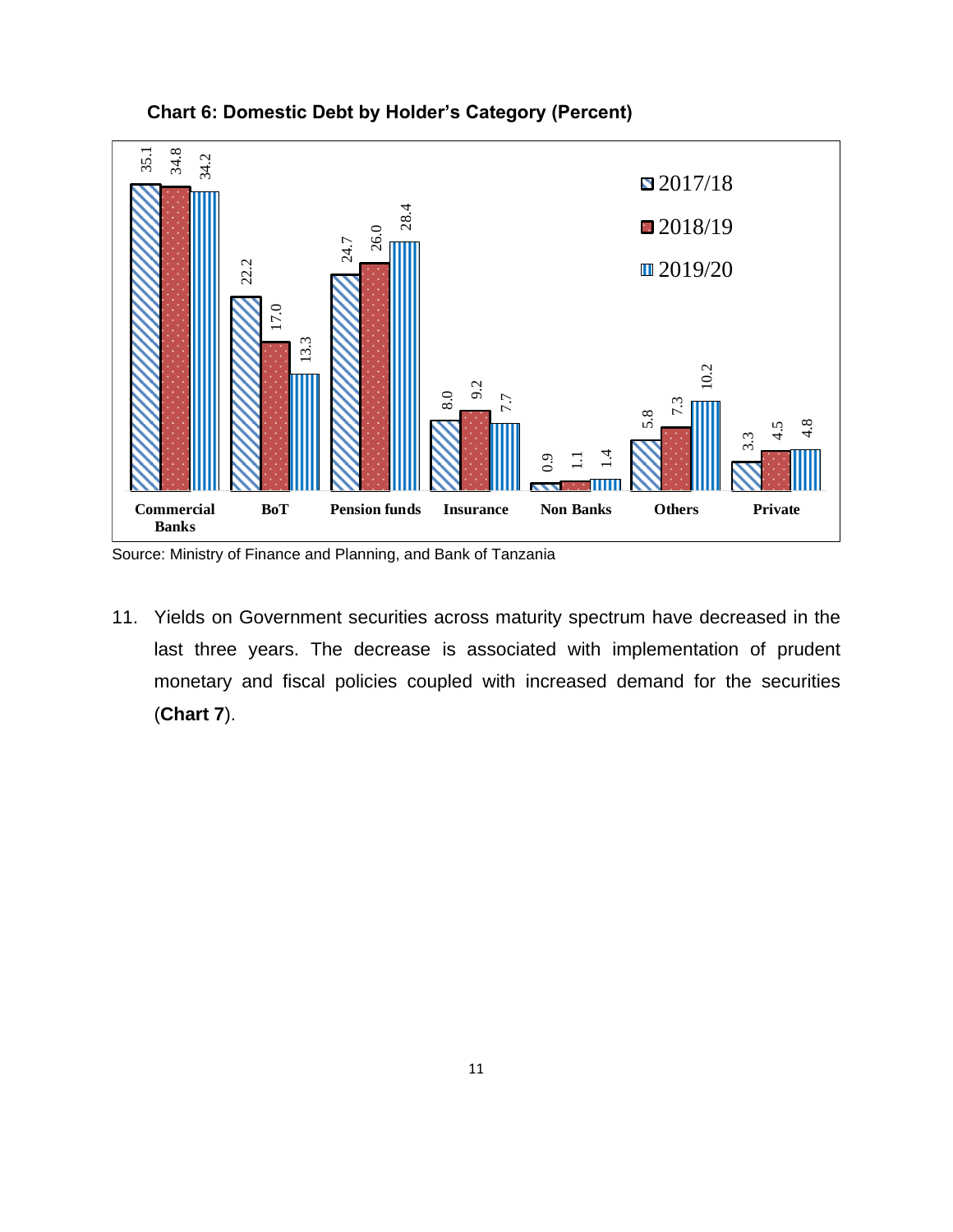<span id="page-10-0"></span>

**Chart 6: Domestic Debt by Holder's Category (Percent)**

Source: Ministry of Finance and Planning, and Bank of Tanzania

11. Yields on Government securities across maturity spectrum have decreased in the last three years. The decrease is associated with implementation of prudent monetary and fiscal policies coupled with increased demand for the securities (**Chart 7**).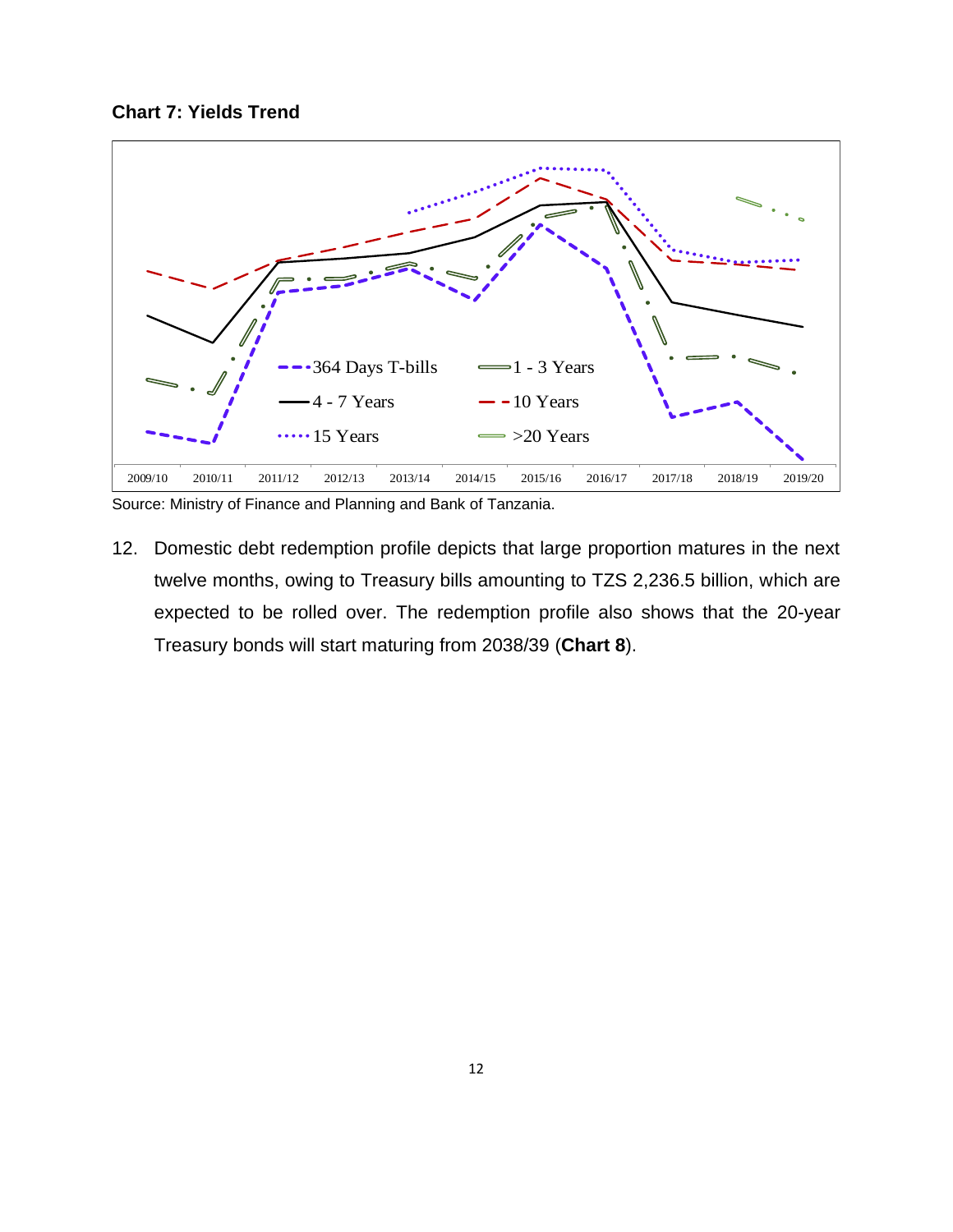<span id="page-11-0"></span>



Source: Ministry of Finance and Planning and Bank of Tanzania.

12. Domestic debt redemption profile depicts that large proportion matures in the next twelve months, owing to Treasury bills amounting to TZS 2,236.5 billion, which are expected to be rolled over. The redemption profile also shows that the 20-year Treasury bonds will start maturing from 2038/39 (**Chart 8**).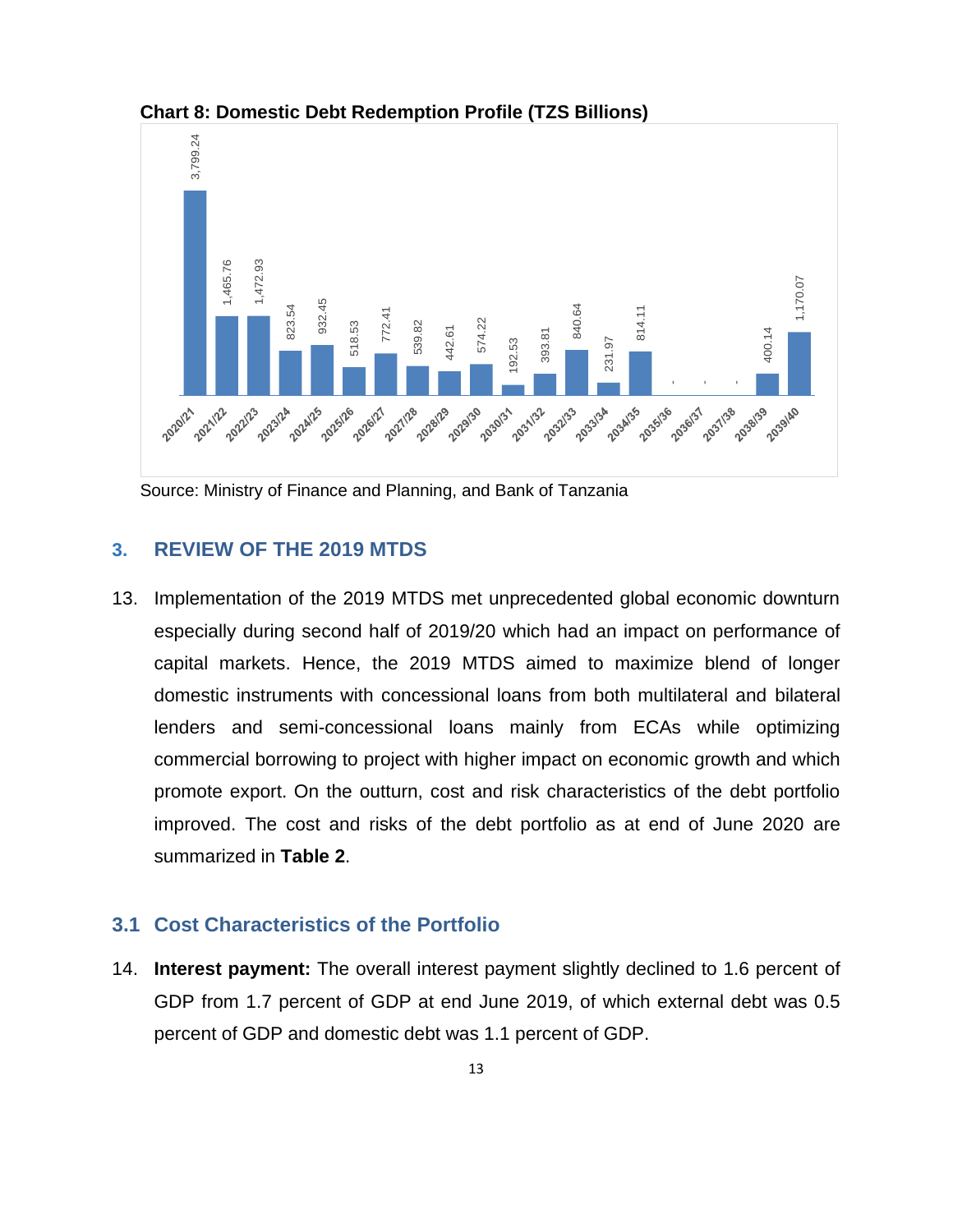

<span id="page-12-2"></span>**Chart 8: Domestic Debt Redemption Profile (TZS Billions)**

<span id="page-12-0"></span>Source: Ministry of Finance and Planning, and Bank of Tanzania

## **3. REVIEW OF THE 2019 MTDS**

13. Implementation of the 2019 MTDS met unprecedented global economic downturn especially during second half of 2019/20 which had an impact on performance of capital markets. Hence, the 2019 MTDS aimed to maximize blend of longer domestic instruments with concessional loans from both multilateral and bilateral lenders and semi-concessional loans mainly from ECAs while optimizing commercial borrowing to project with higher impact on economic growth and which promote export. On the outturn, cost and risk characteristics of the debt portfolio improved. The cost and risks of the debt portfolio as at end of June 2020 are summarized in **Table 2**.

## <span id="page-12-1"></span>**3.1 Cost Characteristics of the Portfolio**

14. **Interest payment:** The overall interest payment slightly declined to 1.6 percent of GDP from 1.7 percent of GDP at end June 2019, of which external debt was 0.5 percent of GDP and domestic debt was 1.1 percent of GDP.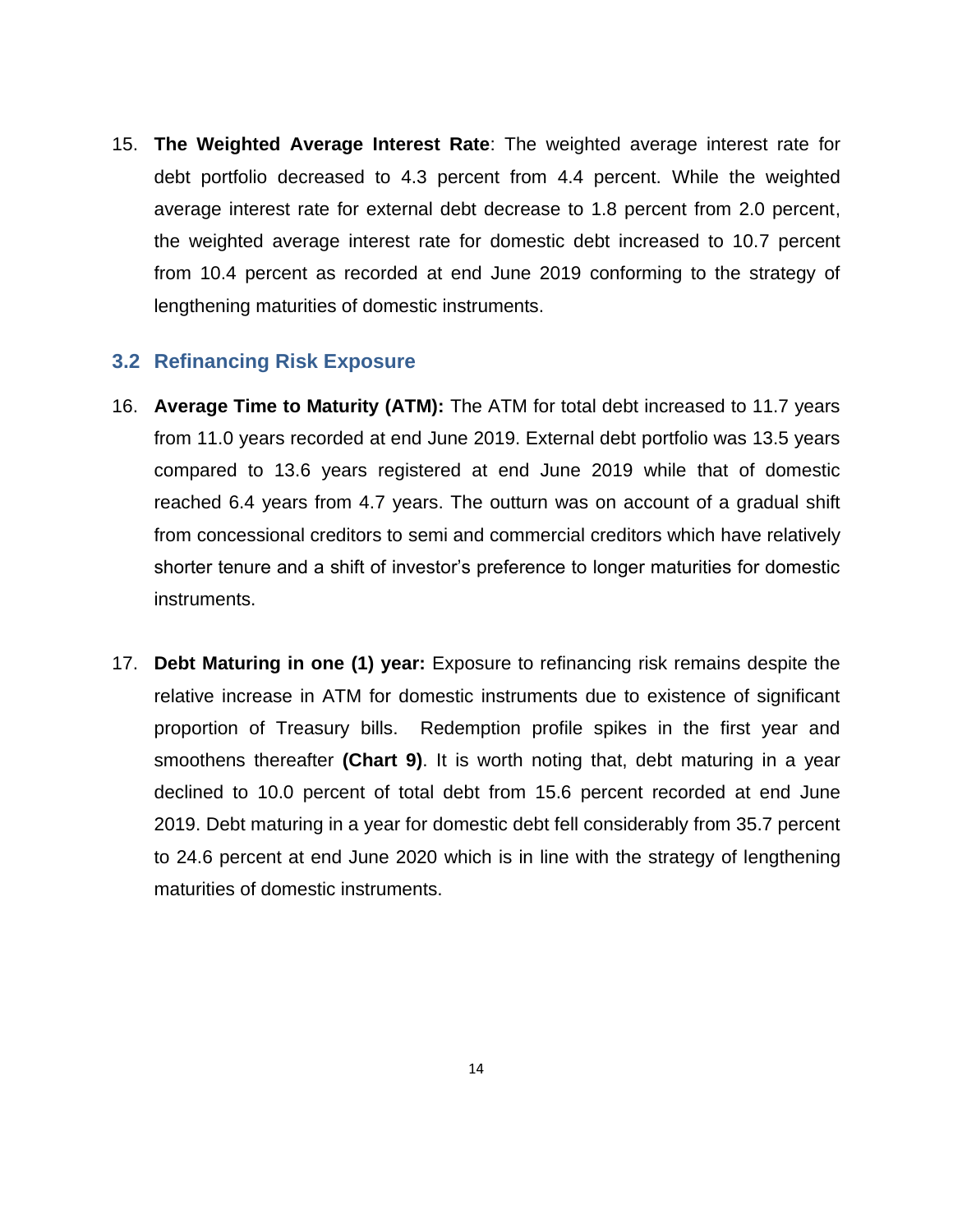15. **The Weighted Average Interest Rate**: The weighted average interest rate for debt portfolio decreased to 4.3 percent from 4.4 percent. While the weighted average interest rate for external debt decrease to 1.8 percent from 2.0 percent, the weighted average interest rate for domestic debt increased to 10.7 percent from 10.4 percent as recorded at end June 2019 conforming to the strategy of lengthening maturities of domestic instruments.

## <span id="page-13-0"></span>**3.2 Refinancing Risk Exposure**

- 16. **Average Time to Maturity (ATM):** The ATM for total debt increased to 11.7 years from 11.0 years recorded at end June 2019. External debt portfolio was 13.5 years compared to 13.6 years registered at end June 2019 while that of domestic reached 6.4 years from 4.7 years. The outturn was on account of a gradual shift from concessional creditors to semi and commercial creditors which have relatively shorter tenure and a shift of investor's preference to longer maturities for domestic instruments.
- 17. **Debt Maturing in one (1) year:** Exposure to refinancing risk remains despite the relative increase in ATM for domestic instruments due to existence of significant proportion of Treasury bills. Redemption profile spikes in the first year and smoothens thereafter **(Chart 9)**. It is worth noting that, debt maturing in a year declined to 10.0 percent of total debt from 15.6 percent recorded at end June 2019. Debt maturing in a year for domestic debt fell considerably from 35.7 percent to 24.6 percent at end June 2020 which is in line with the strategy of lengthening maturities of domestic instruments.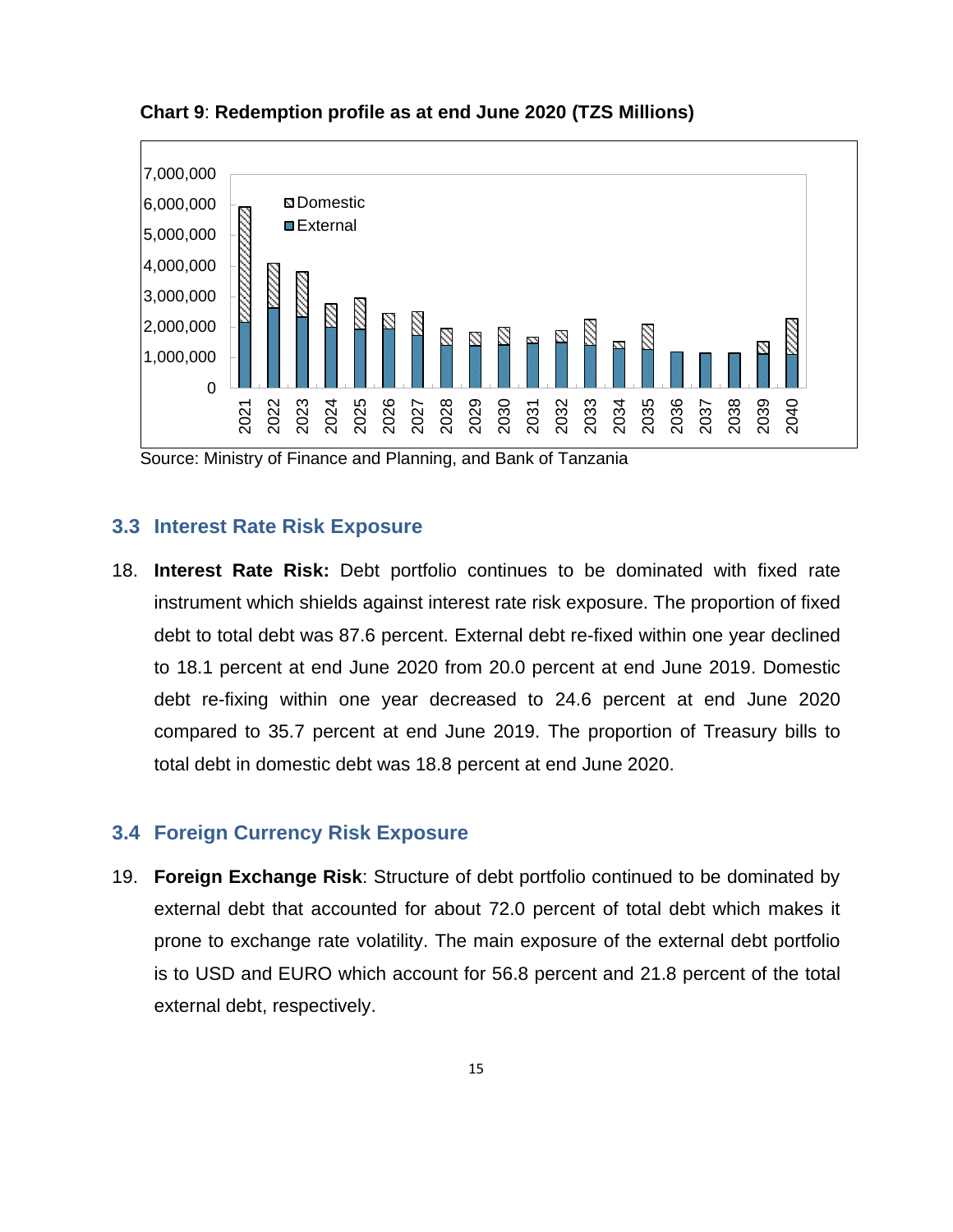

<span id="page-14-2"></span>**Chart 9**: **Redemption profile as at end June 2020 (TZS Millions)**

Source: Ministry of Finance and Planning, and Bank of Tanzania

#### <span id="page-14-0"></span>**3.3 Interest Rate Risk Exposure**

18. **Interest Rate Risk:** Debt portfolio continues to be dominated with fixed rate instrument which shields against interest rate risk exposure. The proportion of fixed debt to total debt was 87.6 percent. External debt re-fixed within one year declined to 18.1 percent at end June 2020 from 20.0 percent at end June 2019. Domestic debt re-fixing within one year decreased to 24.6 percent at end June 2020 compared to 35.7 percent at end June 2019. The proportion of Treasury bills to total debt in domestic debt was 18.8 percent at end June 2020.

## <span id="page-14-1"></span>**3.4 Foreign Currency Risk Exposure**

19. **Foreign Exchange Risk**: Structure of debt portfolio continued to be dominated by external debt that accounted for about 72.0 percent of total debt which makes it prone to exchange rate volatility. The main exposure of the external debt portfolio is to USD and EURO which account for 56.8 percent and 21.8 percent of the total external debt, respectively.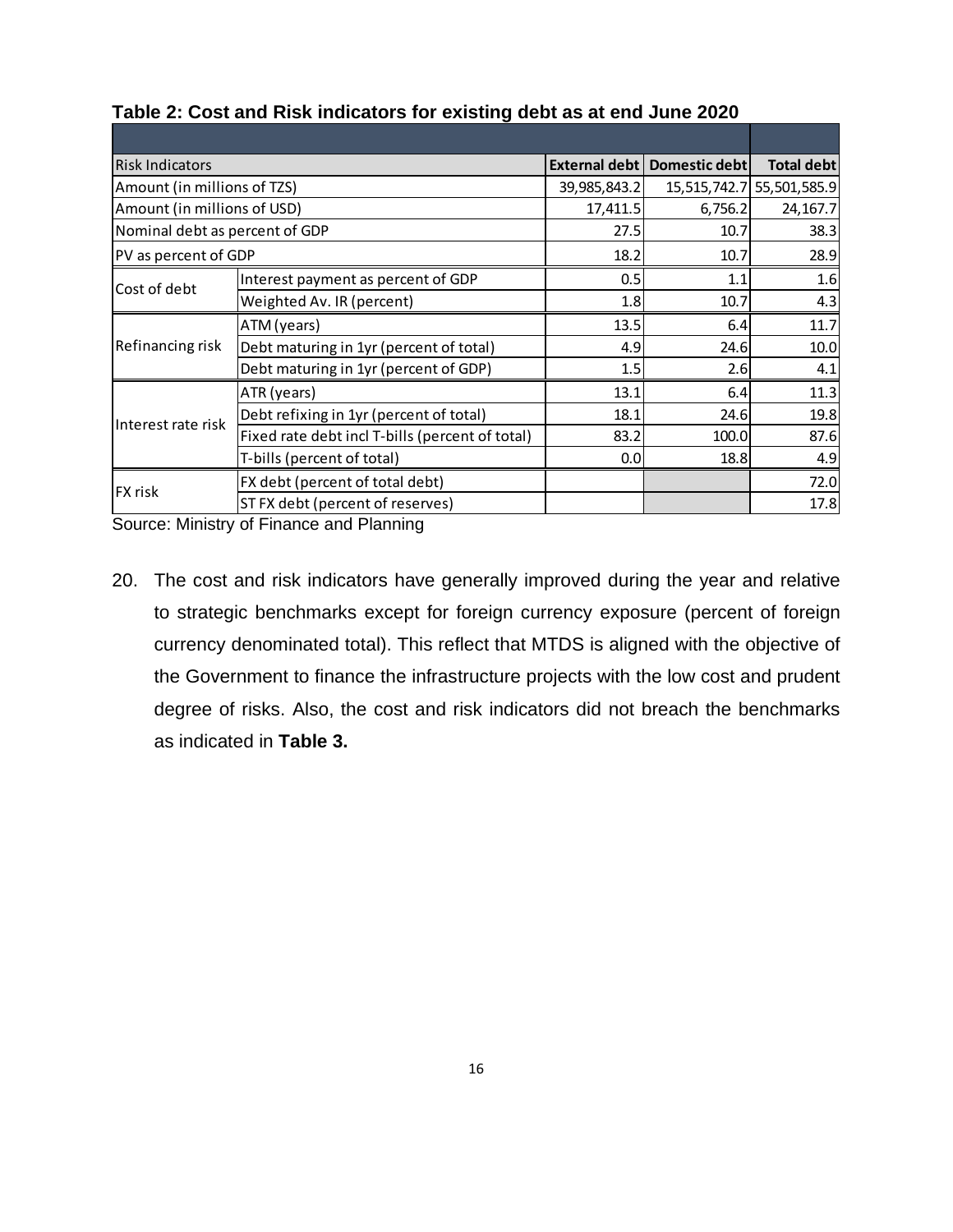| <b>Risk Indicators</b>         |                                                 |              | External debt   Domestic debt | Total debt                |
|--------------------------------|-------------------------------------------------|--------------|-------------------------------|---------------------------|
| Amount (in millions of TZS)    |                                                 | 39,985,843.2 |                               | 15,515,742.7 55,501,585.9 |
| Amount (in millions of USD)    |                                                 | 17,411.5     | 6,756.2                       | 24, 167.7                 |
| Nominal debt as percent of GDP |                                                 | 27.5         | 10.7                          | 38.3                      |
| PV as percent of GDP           |                                                 | 18.2         | 10.7                          | 28.9                      |
| Cost of debt                   | Interest payment as percent of GDP              | 0.5          | 1.1                           | 1.6                       |
|                                | Weighted Av. IR (percent)                       |              | 1.8<br>10.7                   | 4.3                       |
|                                | ATM (years)                                     | 13.5         | 6.4                           | 11.7                      |
| Refinancing risk               | Debt maturing in 1yr (percent of total)         | 4.9          | 24.6                          | 10.0                      |
|                                | Debt maturing in 1yr (percent of GDP)           | 1.5          | 2.6                           | 4.1                       |
|                                | ATR (years)                                     | 13.1         | 6.4                           | 11.3                      |
| Interest rate risk             | Debt refixing in 1yr (percent of total)         | 18.1         | 24.6                          | 19.8                      |
|                                | Fixed rate debt incl T-bills (percent of total) | 83.2         | 100.0                         | 87.6                      |
|                                | T-bills (percent of total)                      | 0.0          | 18.8l                         | 4.9                       |
| FX risk                        | FX debt (percent of total debt)                 |              |                               | 72.0                      |
|                                | ST FX debt (percent of reserves)                |              |                               | 17.8                      |

#### <span id="page-15-0"></span>**Table 2: Cost and Risk indicators for existing debt as at end June 2020**

Source: Ministry of Finance and Planning

20. The cost and risk indicators have generally improved during the year and relative to strategic benchmarks except for foreign currency exposure (percent of foreign currency denominated total). This reflect that MTDS is aligned with the objective of the Government to finance the infrastructure projects with the low cost and prudent degree of risks. Also, the cost and risk indicators did not breach the benchmarks as indicated in **Table 3.**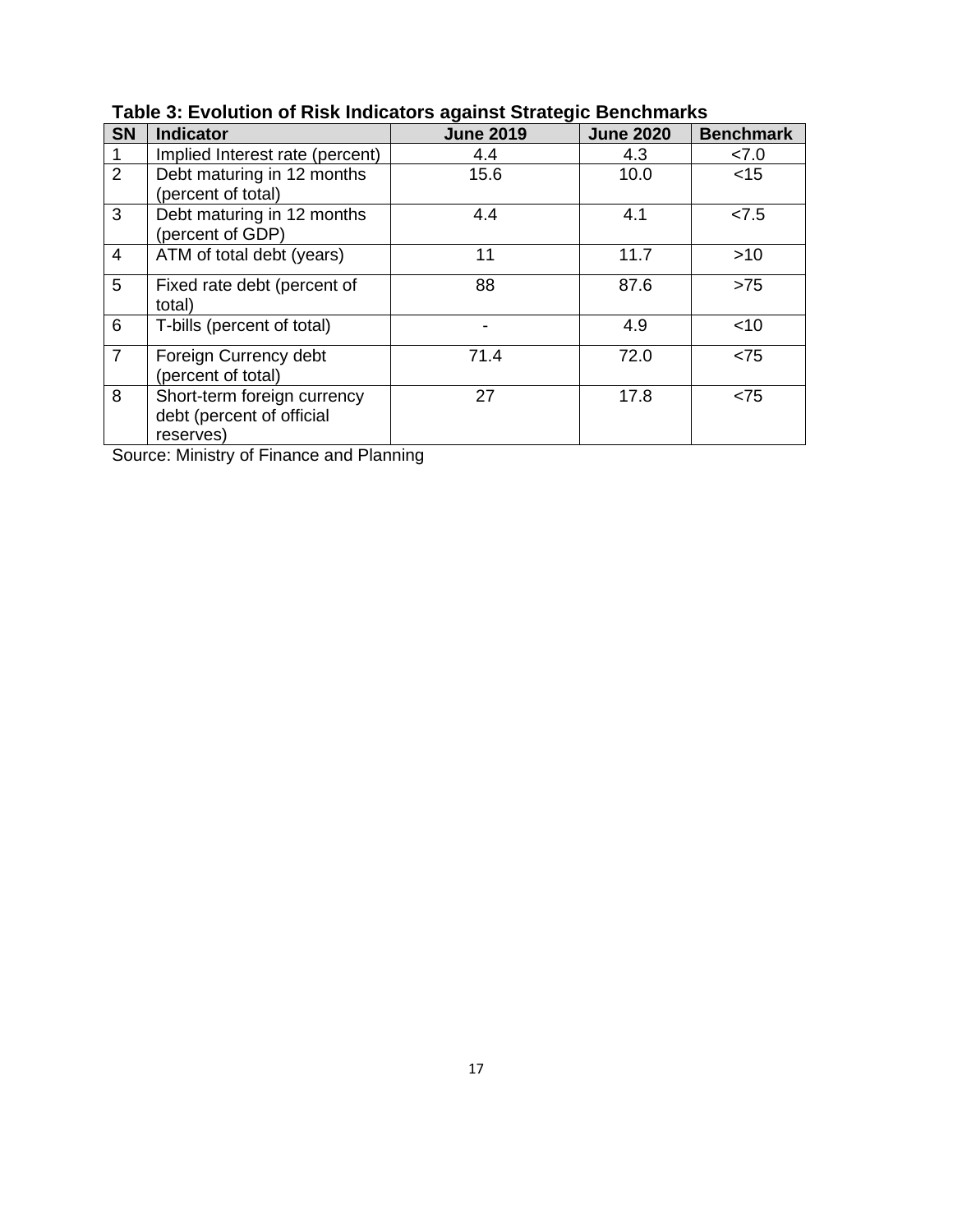| <b>SN</b>      | <b>Indicator</b>                                                      | <b>June 2019</b> | <b>June 2020</b> | <b>Benchmark</b> |
|----------------|-----------------------------------------------------------------------|------------------|------------------|------------------|
|                | Implied Interest rate (percent)                                       | 4.4              | 4.3              | 27.0             |
| 2              | Debt maturing in 12 months<br>(percent of total)                      | 15.6             | 10.0             | $<$ 15           |
| 3              | Debt maturing in 12 months<br>(percent of GDP)                        | 4.4              | 4.1              | < 7.5            |
| $\overline{4}$ | ATM of total debt (years)                                             | 11               | 11.7             | $>10$            |
| 5              | Fixed rate debt (percent of<br>total)                                 | 88               | 87.6             | $>75$            |
| 6              | T-bills (percent of total)                                            |                  | 4.9              | $<$ 10           |
| $\overline{7}$ | Foreign Currency debt<br>(percent of total)                           | 71.4             | 72.0             | < 75             |
| 8              | Short-term foreign currency<br>debt (percent of official<br>reserves) | 27               | 17.8             | < 75             |

<span id="page-16-0"></span>**Table 3: Evolution of Risk Indicators against Strategic Benchmarks**

Source: Ministry of Finance and Planning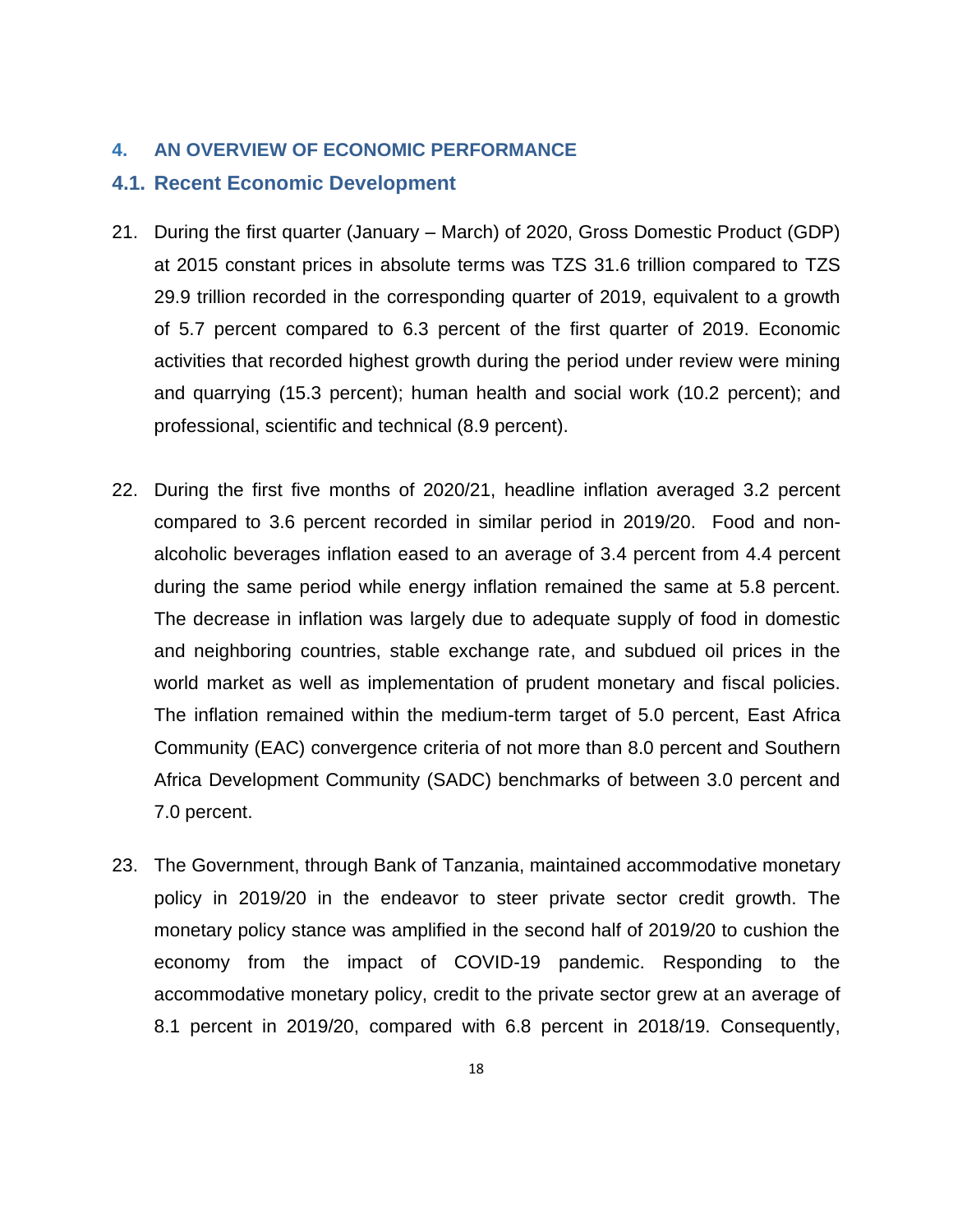#### <span id="page-17-0"></span>**4. AN OVERVIEW OF ECONOMIC PERFORMANCE**

#### <span id="page-17-1"></span>**4.1. Recent Economic Development**

- 21. During the first quarter (January March) of 2020, Gross Domestic Product (GDP) at 2015 constant prices in absolute terms was TZS 31.6 trillion compared to TZS 29.9 trillion recorded in the corresponding quarter of 2019, equivalent to a growth of 5.7 percent compared to 6.3 percent of the first quarter of 2019. Economic activities that recorded highest growth during the period under review were mining and quarrying (15.3 percent); human health and social work (10.2 percent); and professional, scientific and technical (8.9 percent).
- 22. During the first five months of 2020/21, headline inflation averaged 3.2 percent compared to 3.6 percent recorded in similar period in 2019/20. Food and nonalcoholic beverages inflation eased to an average of 3.4 percent from 4.4 percent during the same period while energy inflation remained the same at 5.8 percent. The decrease in inflation was largely due to adequate supply of food in domestic and neighboring countries, stable exchange rate, and subdued oil prices in the world market as well as implementation of prudent monetary and fiscal policies. The inflation remained within the medium-term target of 5.0 percent, East Africa Community (EAC) convergence criteria of not more than 8.0 percent and Southern Africa Development Community (SADC) benchmarks of between 3.0 percent and 7.0 percent.
- 23. The Government, through Bank of Tanzania, maintained accommodative monetary policy in 2019/20 in the endeavor to steer private sector credit growth. The monetary policy stance was amplified in the second half of 2019/20 to cushion the economy from the impact of COVID-19 pandemic. Responding to the accommodative monetary policy, credit to the private sector grew at an average of 8.1 percent in 2019/20, compared with 6.8 percent in 2018/19. Consequently,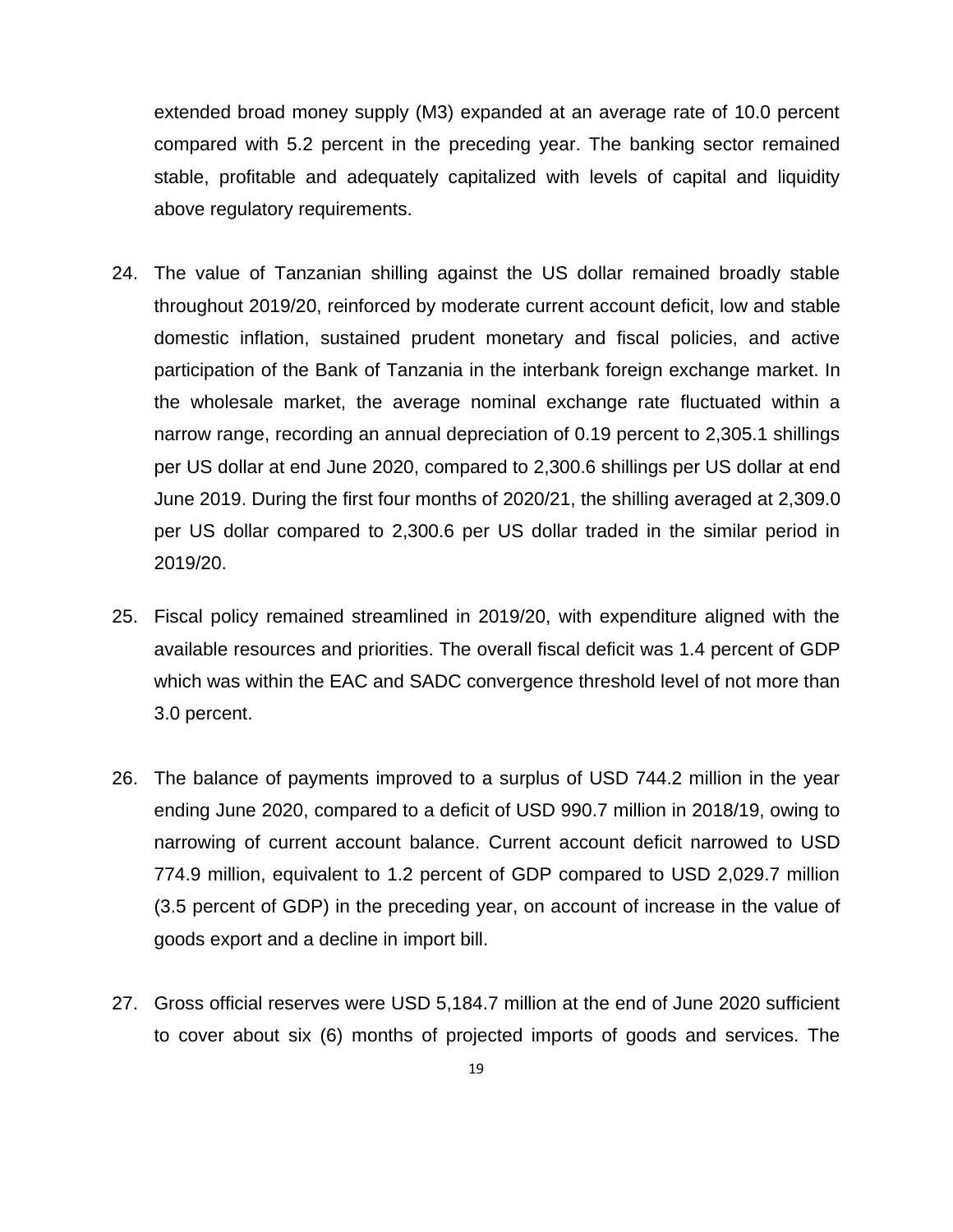extended broad money supply (M3) expanded at an average rate of 10.0 percent compared with 5.2 percent in the preceding year. The banking sector remained stable, profitable and adequately capitalized with levels of capital and liquidity above regulatory requirements.

- 24. The value of Tanzanian shilling against the US dollar remained broadly stable throughout 2019/20, reinforced by moderate current account deficit, low and stable domestic inflation, sustained prudent monetary and fiscal policies, and active participation of the Bank of Tanzania in the interbank foreign exchange market. In the wholesale market, the average nominal exchange rate fluctuated within a narrow range, recording an annual depreciation of 0.19 percent to 2,305.1 shillings per US dollar at end June 2020, compared to 2,300.6 shillings per US dollar at end June 2019. During the first four months of 2020/21, the shilling averaged at 2,309.0 per US dollar compared to 2,300.6 per US dollar traded in the similar period in 2019/20.
- 25. Fiscal policy remained streamlined in 2019/20, with expenditure aligned with the available resources and priorities. The overall fiscal deficit was 1.4 percent of GDP which was within the EAC and SADC convergence threshold level of not more than 3.0 percent.
- 26. The balance of payments improved to a surplus of USD 744.2 million in the year ending June 2020, compared to a deficit of USD 990.7 million in 2018/19, owing to narrowing of current account balance. Current account deficit narrowed to USD 774.9 million, equivalent to 1.2 percent of GDP compared to USD 2,029.7 million (3.5 percent of GDP) in the preceding year, on account of increase in the value of goods export and a decline in import bill.
- 27. Gross official reserves were USD 5,184.7 million at the end of June 2020 sufficient to cover about six (6) months of projected imports of goods and services. The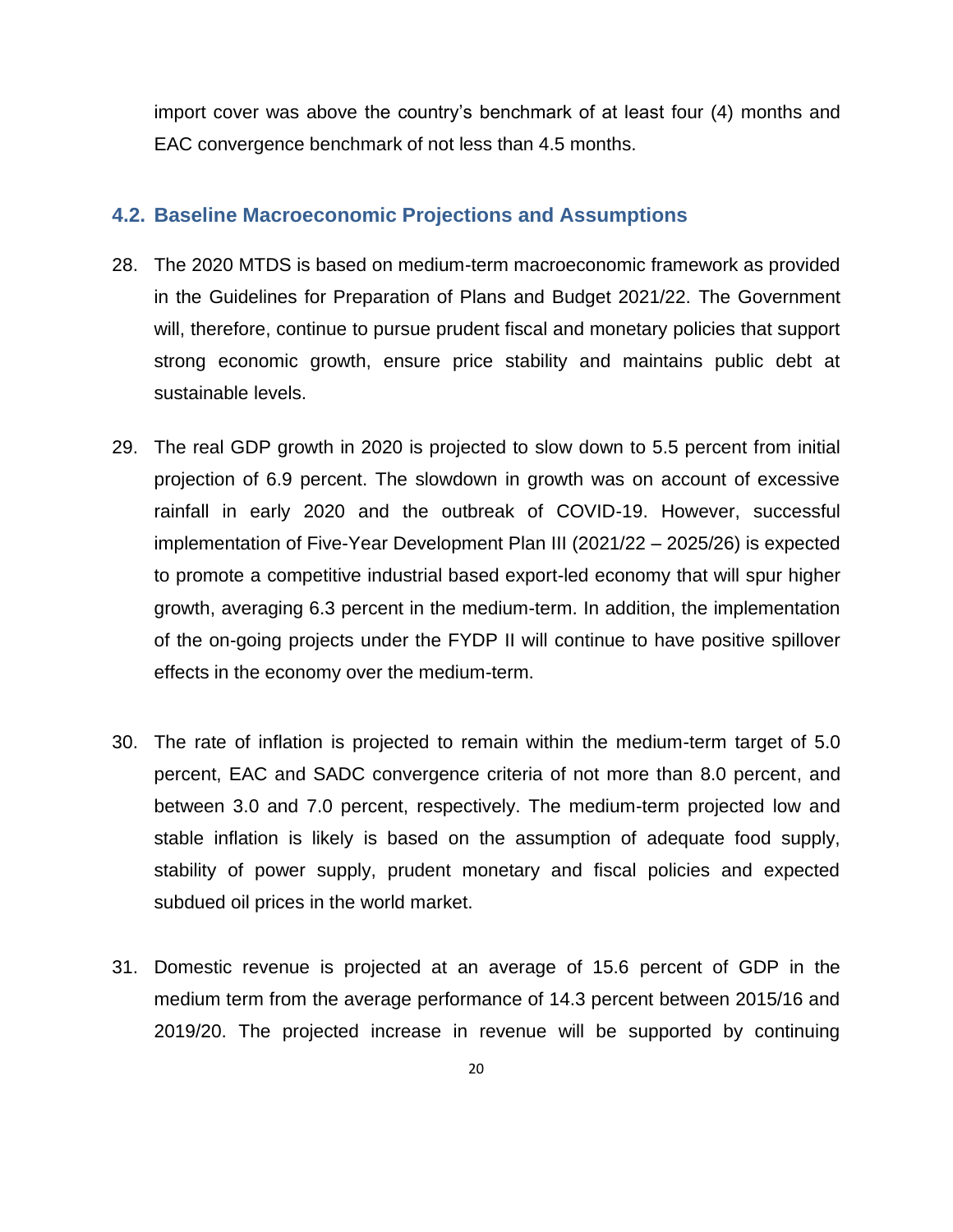import cover was above the country's benchmark of at least four (4) months and EAC convergence benchmark of not less than 4.5 months.

### <span id="page-19-0"></span>**4.2. Baseline Macroeconomic Projections and Assumptions**

- 28. The 2020 MTDS is based on medium-term macroeconomic framework as provided in the Guidelines for Preparation of Plans and Budget 2021/22. The Government will, therefore, continue to pursue prudent fiscal and monetary policies that support strong economic growth, ensure price stability and maintains public debt at sustainable levels.
- 29. The real GDP growth in 2020 is projected to slow down to 5.5 percent from initial projection of 6.9 percent. The slowdown in growth was on account of excessive rainfall in early 2020 and the outbreak of COVID-19. However, successful implementation of Five-Year Development Plan III (2021/22 – 2025/26) is expected to promote a competitive industrial based export-led economy that will spur higher growth, averaging 6.3 percent in the medium-term. In addition, the implementation of the on-going projects under the FYDP II will continue to have positive spillover effects in the economy over the medium-term.
- 30. The rate of inflation is projected to remain within the medium-term target of 5.0 percent, EAC and SADC convergence criteria of not more than 8.0 percent, and between 3.0 and 7.0 percent, respectively. The medium-term projected low and stable inflation is likely is based on the assumption of adequate food supply, stability of power supply, prudent monetary and fiscal policies and expected subdued oil prices in the world market.
- 31. Domestic revenue is projected at an average of 15.6 percent of GDP in the medium term from the average performance of 14.3 percent between 2015/16 and 2019/20. The projected increase in revenue will be supported by continuing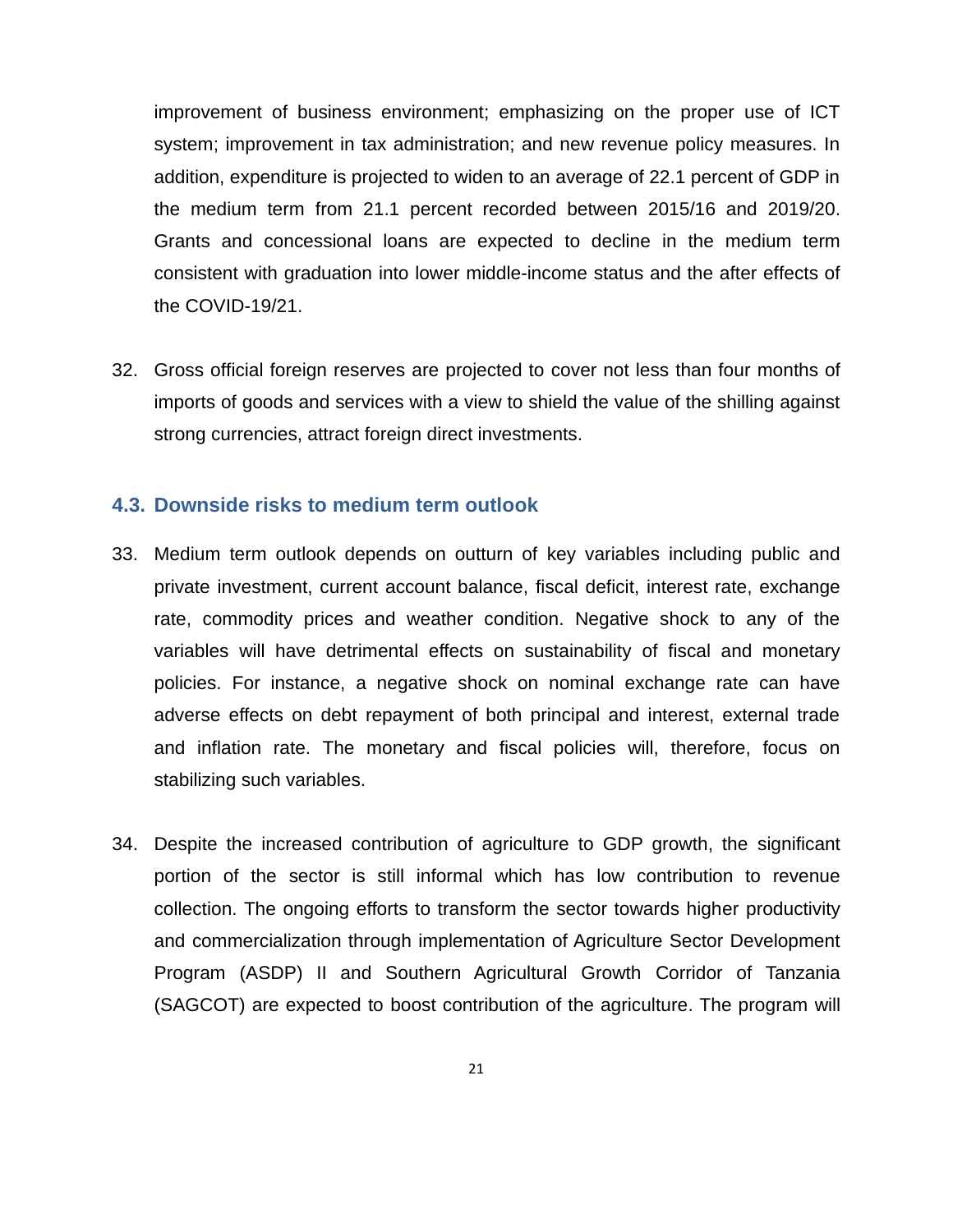improvement of business environment; emphasizing on the proper use of ICT system; improvement in tax administration; and new revenue policy measures. In addition, expenditure is projected to widen to an average of 22.1 percent of GDP in the medium term from 21.1 percent recorded between 2015/16 and 2019/20. Grants and concessional loans are expected to decline in the medium term consistent with graduation into lower middle-income status and the after effects of the COVID-19/21.

32. Gross official foreign reserves are projected to cover not less than four months of imports of goods and services with a view to shield the value of the shilling against strong currencies, attract foreign direct investments.

## <span id="page-20-0"></span>**4.3. Downside risks to medium term outlook**

- 33. Medium term outlook depends on outturn of key variables including public and private investment, current account balance, fiscal deficit, interest rate, exchange rate, commodity prices and weather condition. Negative shock to any of the variables will have detrimental effects on sustainability of fiscal and monetary policies. For instance, a negative shock on nominal exchange rate can have adverse effects on debt repayment of both principal and interest, external trade and inflation rate. The monetary and fiscal policies will, therefore, focus on stabilizing such variables.
- 34. Despite the increased contribution of agriculture to GDP growth, the significant portion of the sector is still informal which has low contribution to revenue collection. The ongoing efforts to transform the sector towards higher productivity and commercialization through implementation of Agriculture Sector Development Program (ASDP) II and Southern Agricultural Growth Corridor of Tanzania (SAGCOT) are expected to boost contribution of the agriculture. The program will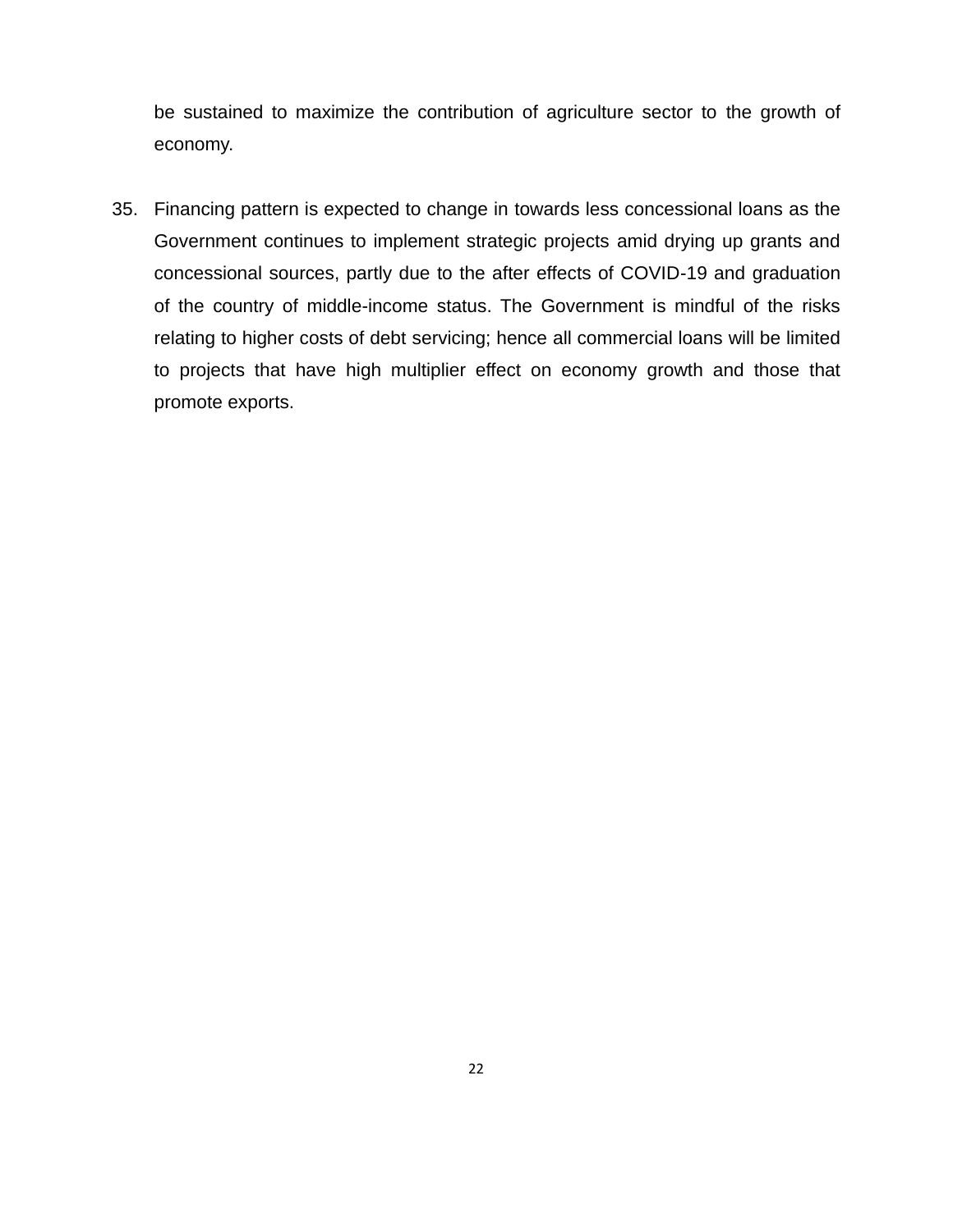be sustained to maximize the contribution of agriculture sector to the growth of economy.

35. Financing pattern is expected to change in towards less concessional loans as the Government continues to implement strategic projects amid drying up grants and concessional sources, partly due to the after effects of COVID-19 and graduation of the country of middle-income status. The Government is mindful of the risks relating to higher costs of debt servicing; hence all commercial loans will be limited to projects that have high multiplier effect on economy growth and those that promote exports.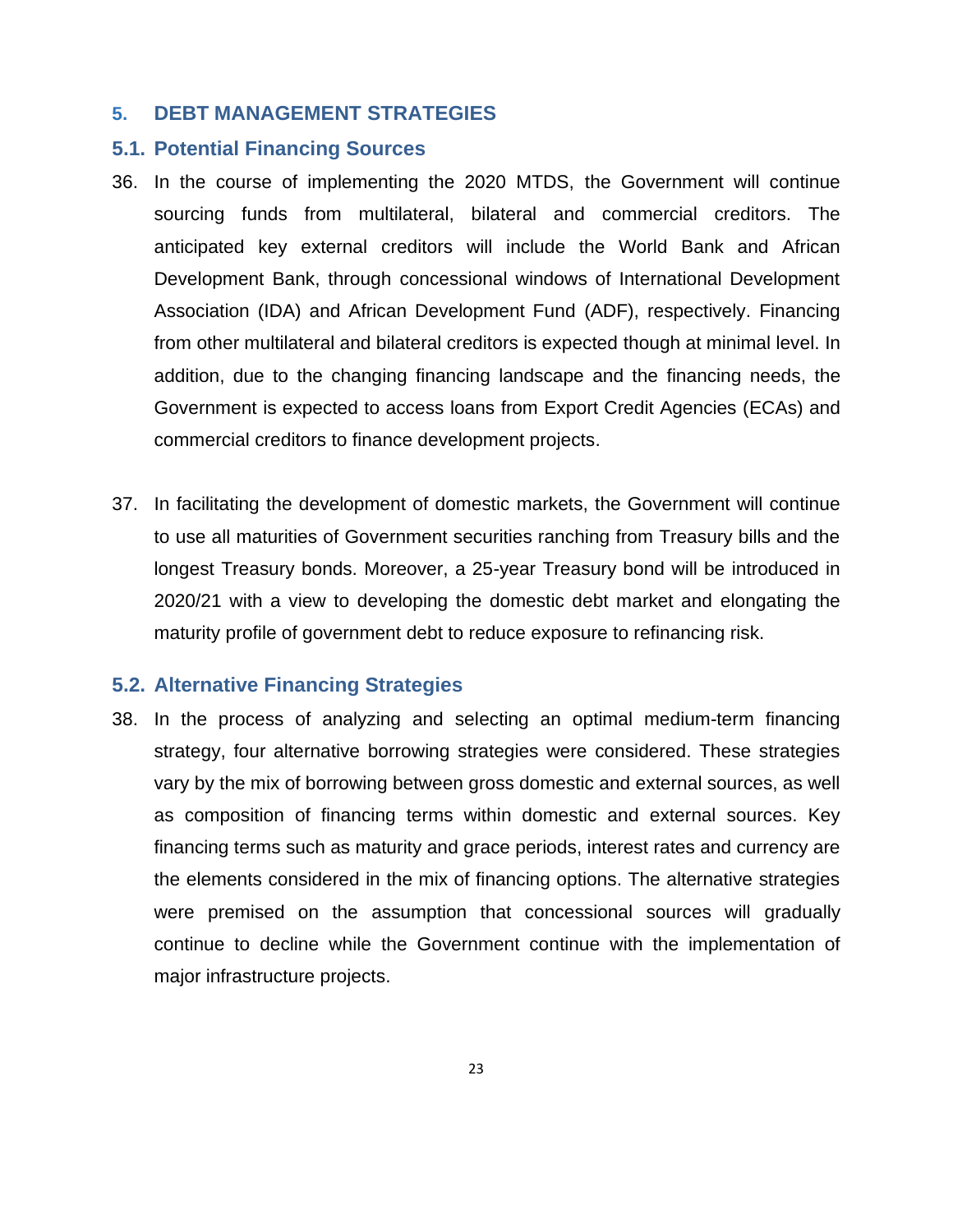## <span id="page-22-0"></span>**5. DEBT MANAGEMENT STRATEGIES**

#### <span id="page-22-1"></span>**5.1. Potential Financing Sources**

- 36. In the course of implementing the 2020 MTDS, the Government will continue sourcing funds from multilateral, bilateral and commercial creditors. The anticipated key external creditors will include the World Bank and African Development Bank, through concessional windows of International Development Association (IDA) and African Development Fund (ADF), respectively. Financing from other multilateral and bilateral creditors is expected though at minimal level. In addition, due to the changing financing landscape and the financing needs, the Government is expected to access loans from Export Credit Agencies (ECAs) and commercial creditors to finance development projects.
- 37. In facilitating the development of domestic markets, the Government will continue to use all maturities of Government securities ranching from Treasury bills and the longest Treasury bonds. Moreover, a 25-year Treasury bond will be introduced in 2020/21 with a view to developing the domestic debt market and elongating the maturity profile of government debt to reduce exposure to refinancing risk.

## <span id="page-22-2"></span>**5.2. Alternative Financing Strategies**

38. In the process of analyzing and selecting an optimal medium-term financing strategy, four alternative borrowing strategies were considered. These strategies vary by the mix of borrowing between gross domestic and external sources, as well as composition of financing terms within domestic and external sources. Key financing terms such as maturity and grace periods, interest rates and currency are the elements considered in the mix of financing options. The alternative strategies were premised on the assumption that concessional sources will gradually continue to decline while the Government continue with the implementation of major infrastructure projects.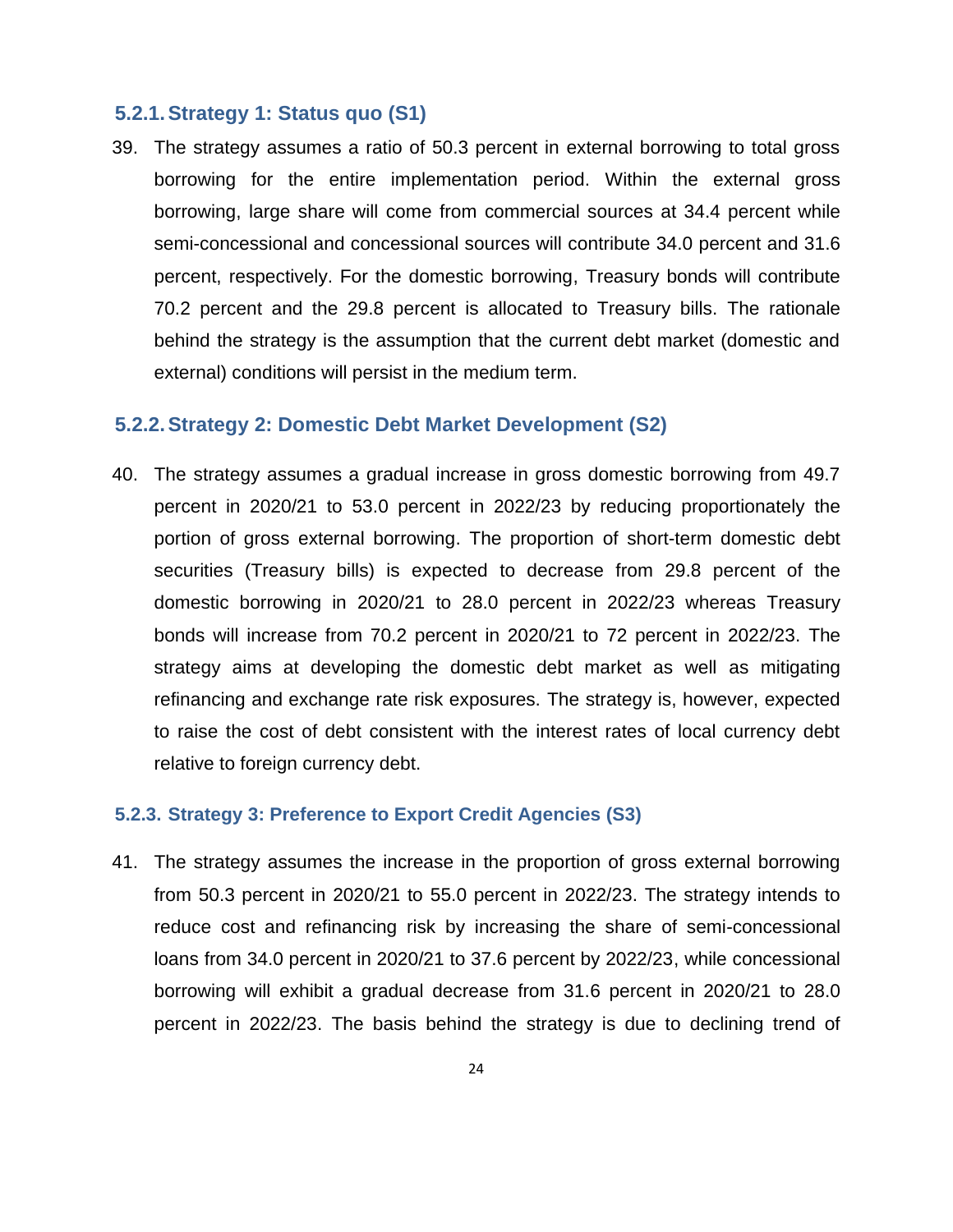#### <span id="page-23-0"></span>**5.2.1.Strategy 1: Status quo (S1)**

39. The strategy assumes a ratio of 50.3 percent in external borrowing to total gross borrowing for the entire implementation period. Within the external gross borrowing, large share will come from commercial sources at 34.4 percent while semi-concessional and concessional sources will contribute 34.0 percent and 31.6 percent, respectively. For the domestic borrowing, Treasury bonds will contribute 70.2 percent and the 29.8 percent is allocated to Treasury bills. The rationale behind the strategy is the assumption that the current debt market (domestic and external) conditions will persist in the medium term.

#### <span id="page-23-1"></span>**5.2.2.Strategy 2: Domestic Debt Market Development (S2)**

40. The strategy assumes a gradual increase in gross domestic borrowing from 49.7 percent in 2020/21 to 53.0 percent in 2022/23 by reducing proportionately the portion of gross external borrowing. The proportion of short-term domestic debt securities (Treasury bills) is expected to decrease from 29.8 percent of the domestic borrowing in 2020/21 to 28.0 percent in 2022/23 whereas Treasury bonds will increase from 70.2 percent in 2020/21 to 72 percent in 2022/23. The strategy aims at developing the domestic debt market as well as mitigating refinancing and exchange rate risk exposures. The strategy is, however, expected to raise the cost of debt consistent with the interest rates of local currency debt relative to foreign currency debt.

#### <span id="page-23-2"></span>**5.2.3. Strategy 3: Preference to Export Credit Agencies (S3)**

41. The strategy assumes the increase in the proportion of gross external borrowing from 50.3 percent in 2020/21 to 55.0 percent in 2022/23. The strategy intends to reduce cost and refinancing risk by increasing the share of semi-concessional loans from 34.0 percent in 2020/21 to 37.6 percent by 2022/23, while concessional borrowing will exhibit a gradual decrease from 31.6 percent in 2020/21 to 28.0 percent in 2022/23. The basis behind the strategy is due to declining trend of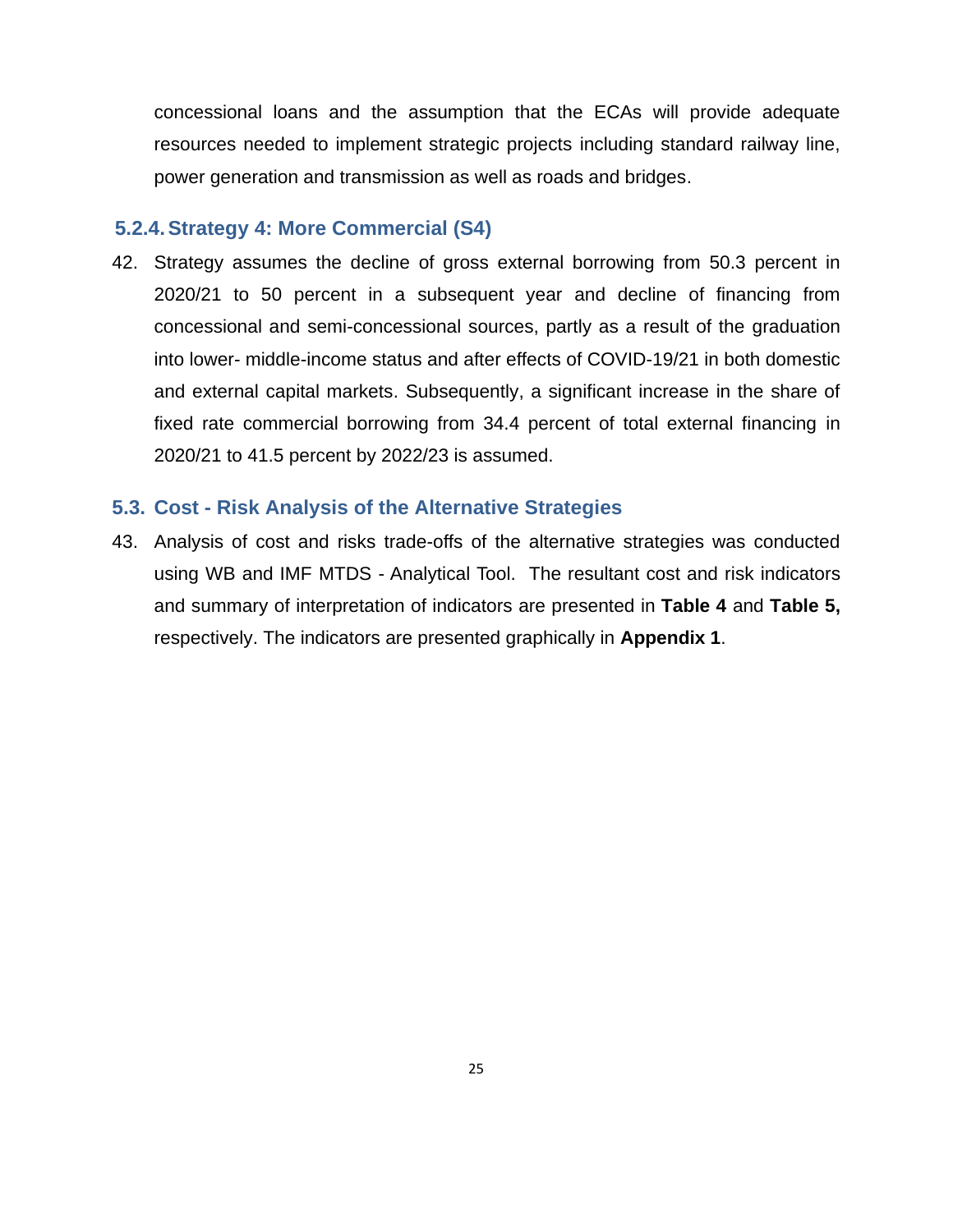concessional loans and the assumption that the ECAs will provide adequate resources needed to implement strategic projects including standard railway line, power generation and transmission as well as roads and bridges.

## <span id="page-24-0"></span>**5.2.4.Strategy 4: More Commercial (S4)**

42. Strategy assumes the decline of gross external borrowing from 50.3 percent in 2020/21 to 50 percent in a subsequent year and decline of financing from concessional and semi-concessional sources, partly as a result of the graduation into lower- middle-income status and after effects of COVID-19/21 in both domestic and external capital markets. Subsequently, a significant increase in the share of fixed rate commercial borrowing from 34.4 percent of total external financing in 2020/21 to 41.5 percent by 2022/23 is assumed.

## <span id="page-24-1"></span>**5.3. Cost - Risk Analysis of the Alternative Strategies**

43. Analysis of cost and risks trade-offs of the alternative strategies was conducted using WB and IMF MTDS - Analytical Tool. The resultant cost and risk indicators and summary of interpretation of indicators are presented in **Table 4** and **Table 5,** respectively. The indicators are presented graphically in **Appendix 1**.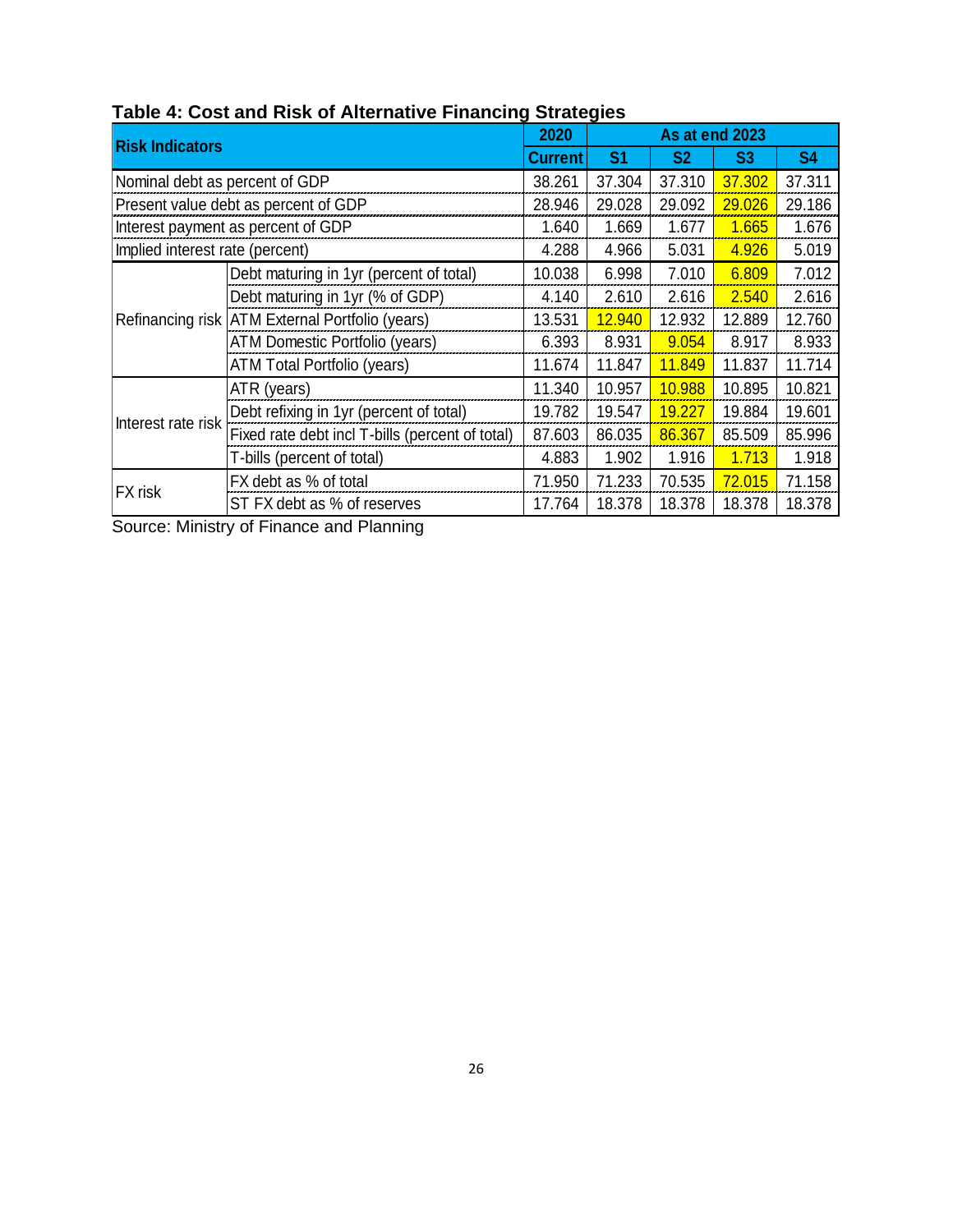|                                 |                                                                      |         | 2020<br>As at end 2023 |                |                |           |
|---------------------------------|----------------------------------------------------------------------|---------|------------------------|----------------|----------------|-----------|
| <b>Risk Indicators</b>          |                                                                      | Current | S <sub>1</sub>         | S <sub>2</sub> | S <sub>3</sub> | <b>S4</b> |
| Nominal debt as percent of GDP  |                                                                      |         | 37.304                 | 37.310         | 37.302         | 37.311    |
|                                 | Present value debt as percent of GDP                                 | 28.946  | 29.028                 | 29.092         | 29.026         | 29.186    |
|                                 | Interest payment as percent of GDP                                   | 1.640   | 1.669                  | 1.677          | 1.665          | 1.676     |
| Implied interest rate (percent) |                                                                      | 4.288   | 4.966                  | 5.031          | 4.926          | 5.019     |
|                                 | Debt maturing in 1yr (percent of total)                              | 10.038  | 6.998                  | 7.010          | 6.809          | 7.012     |
|                                 | Debt maturing in 1yr (% of GDP)                                      | 4.140   | 2.610                  | 2.616          | 2.540          | 2.616     |
|                                 | Refinancing risk ATM External Portfolio (years)                      | 13.531  | 12.940                 | 12.932         | 12.889         | 12.760    |
|                                 | ATM Domestic Portfolio (years)<br><b>ATM Total Portfolio (years)</b> |         | 8.931                  | 9.054          | 8.917          | 8.933     |
|                                 |                                                                      |         | 11.847                 | 11.849         | 11.837         | 11.714    |
|                                 | ATR (years)                                                          | 11.340  | 10.957                 | 10.988         | 10.895         | 10.821    |
|                                 | Debt refixing in 1yr (percent of total)                              | 19.782  | 19.547                 | 19.227         | 19.884         | 19.601    |
| Interest rate risk              | Fixed rate debt incl T-bills (percent of total)                      | 87.603  | 86.035                 | 86.367         | 85.509         | 85.996    |
|                                 | T-bills (percent of total)                                           |         | 1.902                  | 1.916          | 1.713          | 1.918     |
|                                 | FX debt as % of total                                                | 71.950  | 71.233                 | 70.535         | 72.015         | 71.158    |
| <b>FX</b> risk                  | ST FX debt as % of reserves                                          | 17.764  | 18.378                 | 18.378         | 18.378         | 18.378    |

<span id="page-25-0"></span>**Table 4: Cost and Risk of Alternative Financing Strategies**

Source: Ministry of Finance and Planning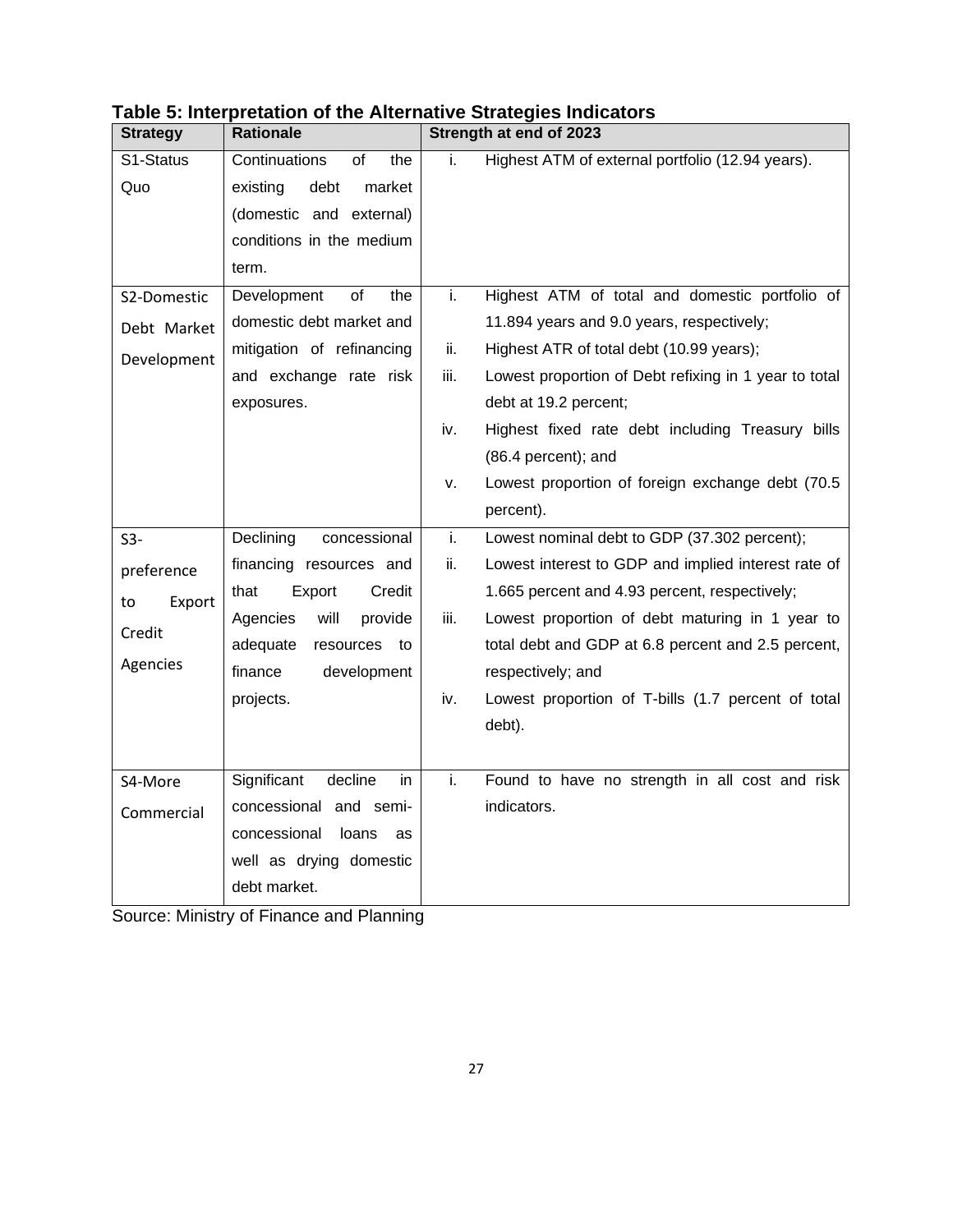| <b>Strategy</b> | <b>Rationale</b>             |      | Strength at end of 2023                               |
|-----------------|------------------------------|------|-------------------------------------------------------|
| S1-Status       | Continuations<br>of<br>the   | i.   | Highest ATM of external portfolio (12.94 years).      |
| Quo             | debt<br>existing<br>market   |      |                                                       |
|                 | (domestic and external)      |      |                                                       |
|                 | conditions in the medium     |      |                                                       |
|                 | term.                        |      |                                                       |
| S2-Domestic     | of<br>Development<br>the     | i.   | Highest ATM of total and domestic portfolio of        |
| Debt Market     | domestic debt market and     |      | 11.894 years and 9.0 years, respectively;             |
| Development     | mitigation of refinancing    | ii.  | Highest ATR of total debt (10.99 years);              |
|                 | and exchange rate risk       | iii. | Lowest proportion of Debt refixing in 1 year to total |
|                 | exposures.                   |      | debt at 19.2 percent;                                 |
|                 |                              | iv.  | Highest fixed rate debt including Treasury bills      |
|                 |                              |      | $(86.4$ percent); and                                 |
|                 |                              | v.   | Lowest proportion of foreign exchange debt (70.5      |
|                 |                              |      | percent).                                             |
| $S3-$           | Declining<br>concessional    | i.   | Lowest nominal debt to GDP (37.302 percent);          |
| preference      | financing resources and      | ii.  | Lowest interest to GDP and implied interest rate of   |
| Export<br>to    | that<br>Credit<br>Export     |      | 1.665 percent and 4.93 percent, respectively;         |
| Credit          | will<br>Agencies<br>provide  | iii. | Lowest proportion of debt maturing in 1 year to       |
|                 | adequate<br>resources<br>to  |      | total debt and GDP at 6.8 percent and 2.5 percent,    |
| Agencies        | finance<br>development       |      | respectively; and                                     |
|                 | projects.                    | iv.  | Lowest proportion of T-bills (1.7 percent of total    |
|                 |                              |      | debt).                                                |
|                 |                              |      |                                                       |
| S4-More         | Significant<br>decline<br>in | i.   | Found to have no strength in all cost and risk        |
| Commercial      | concessional and semi-       |      | indicators.                                           |
|                 | concessional<br>loans<br>as  |      |                                                       |
|                 | well as drying domestic      |      |                                                       |
|                 | debt market.                 |      |                                                       |

## <span id="page-26-0"></span>**Table 5: Interpretation of the Alternative Strategies Indicators**

Source: Ministry of Finance and Planning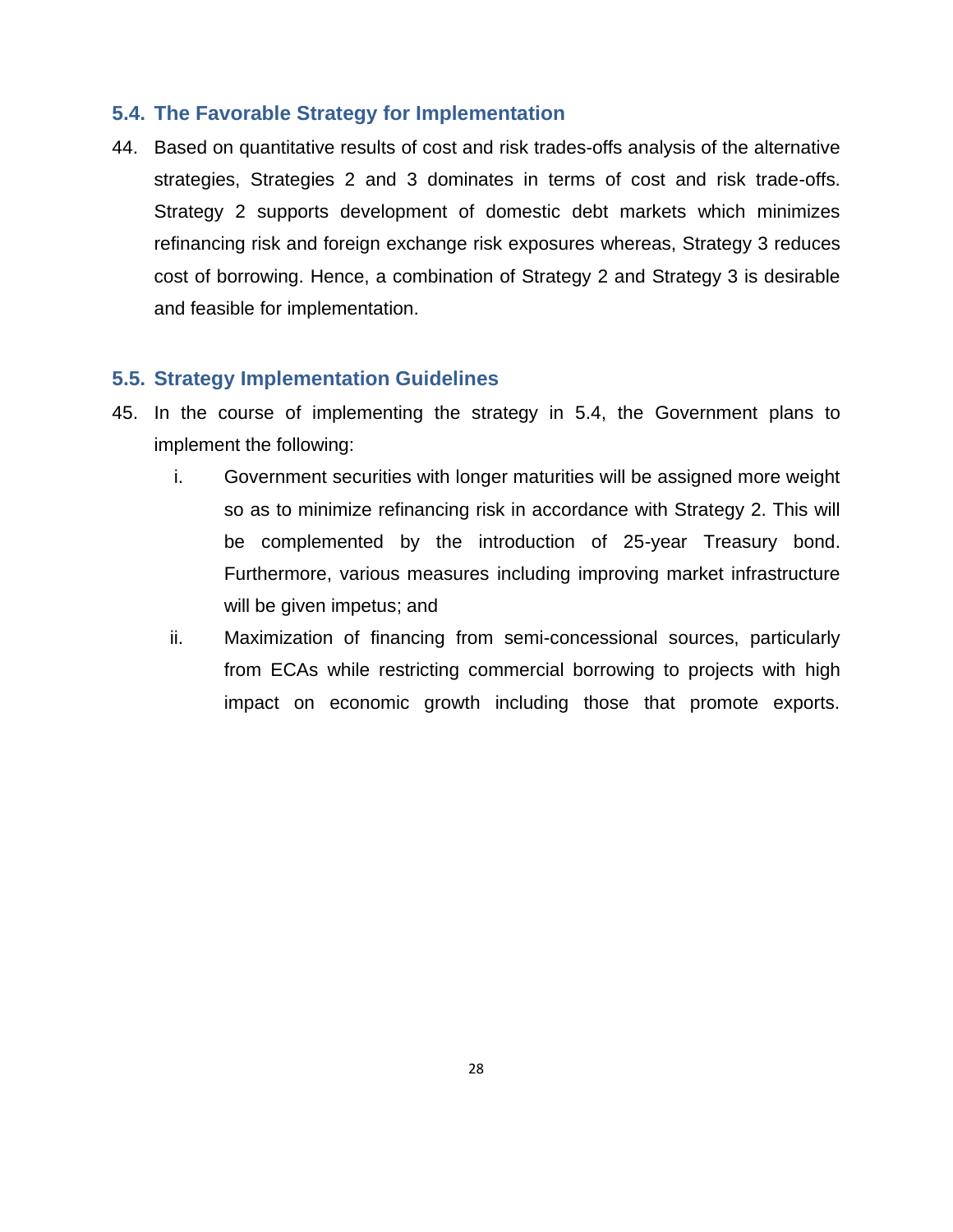## <span id="page-27-0"></span>**5.4. The Favorable Strategy for Implementation**

44. Based on quantitative results of cost and risk trades-offs analysis of the alternative strategies, Strategies 2 and 3 dominates in terms of cost and risk trade-offs. Strategy 2 supports development of domestic debt markets which minimizes refinancing risk and foreign exchange risk exposures whereas, Strategy 3 reduces cost of borrowing. Hence, a combination of Strategy 2 and Strategy 3 is desirable and feasible for implementation.

## <span id="page-27-1"></span>**5.5. Strategy Implementation Guidelines**

- 45. In the course of implementing the strategy in 5.4, the Government plans to implement the following:
	- i. Government securities with longer maturities will be assigned more weight so as to minimize refinancing risk in accordance with Strategy 2. This will be complemented by the introduction of 25-year Treasury bond. Furthermore, various measures including improving market infrastructure will be given impetus; and
	- ii. Maximization of financing from semi-concessional sources, particularly from ECAs while restricting commercial borrowing to projects with high impact on economic growth including those that promote exports.